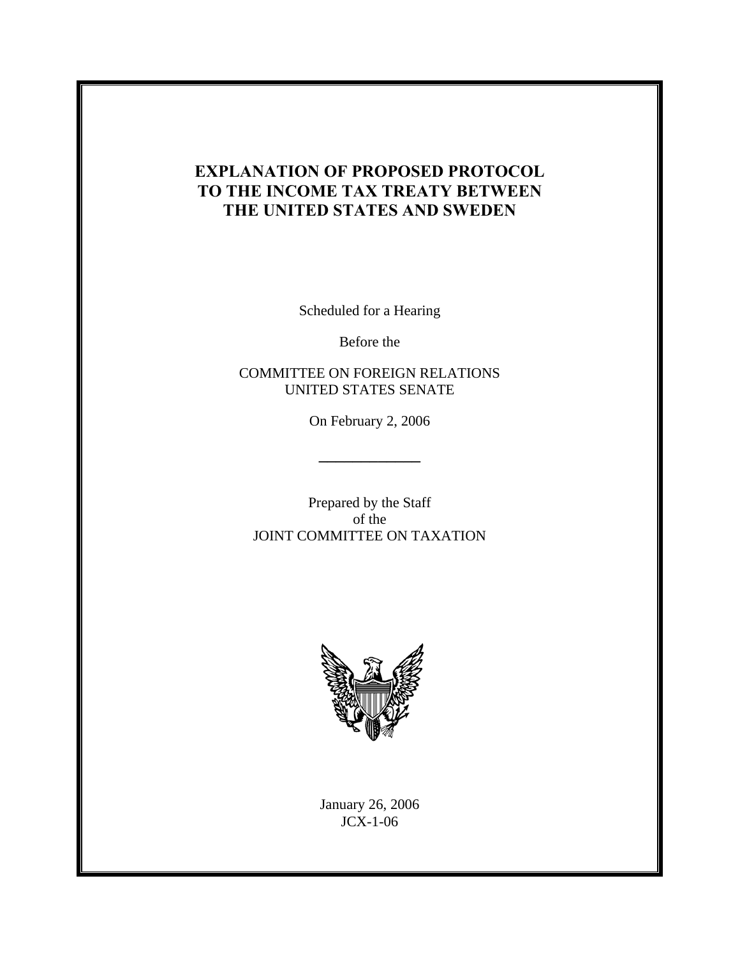# **EXPLANATION OF PROPOSED PROTOCOL TO THE INCOME TAX TREATY BETWEEN THE UNITED STATES AND SWEDEN**

Scheduled for a Hearing

Before the

COMMITTEE ON FOREIGN RELATIONS UNITED STATES SENATE

On February 2, 2006

Prepared by the Staff of the JOINT COMMITTEE ON TAXATION



January 26, 2006 JCX-1-06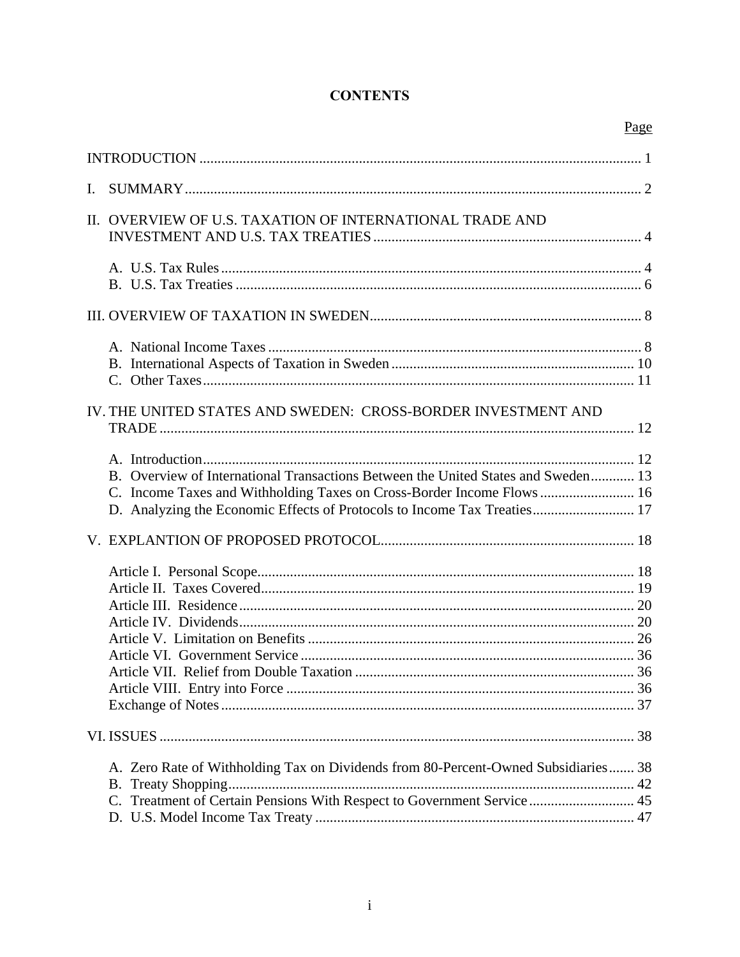# **CONTENTS**

|                                                                                                                                                                                                                                        | Page |
|----------------------------------------------------------------------------------------------------------------------------------------------------------------------------------------------------------------------------------------|------|
|                                                                                                                                                                                                                                        |      |
| Ι.                                                                                                                                                                                                                                     |      |
| II. OVERVIEW OF U.S. TAXATION OF INTERNATIONAL TRADE AND                                                                                                                                                                               |      |
|                                                                                                                                                                                                                                        |      |
|                                                                                                                                                                                                                                        |      |
|                                                                                                                                                                                                                                        |      |
| IV. THE UNITED STATES AND SWEDEN: CROSS-BORDER INVESTMENT AND                                                                                                                                                                          |      |
| B. Overview of International Transactions Between the United States and Sweden 13<br>C. Income Taxes and Withholding Taxes on Cross-Border Income Flows 16<br>D. Analyzing the Economic Effects of Protocols to Income Tax Treaties 17 |      |
|                                                                                                                                                                                                                                        |      |
|                                                                                                                                                                                                                                        |      |
|                                                                                                                                                                                                                                        |      |
| A. Zero Rate of Withholding Tax on Dividends from 80-Percent-Owned Subsidiaries 38<br>Treatment of Certain Pensions With Respect to Government Service  45<br>$C_{\cdot}$                                                              |      |
|                                                                                                                                                                                                                                        |      |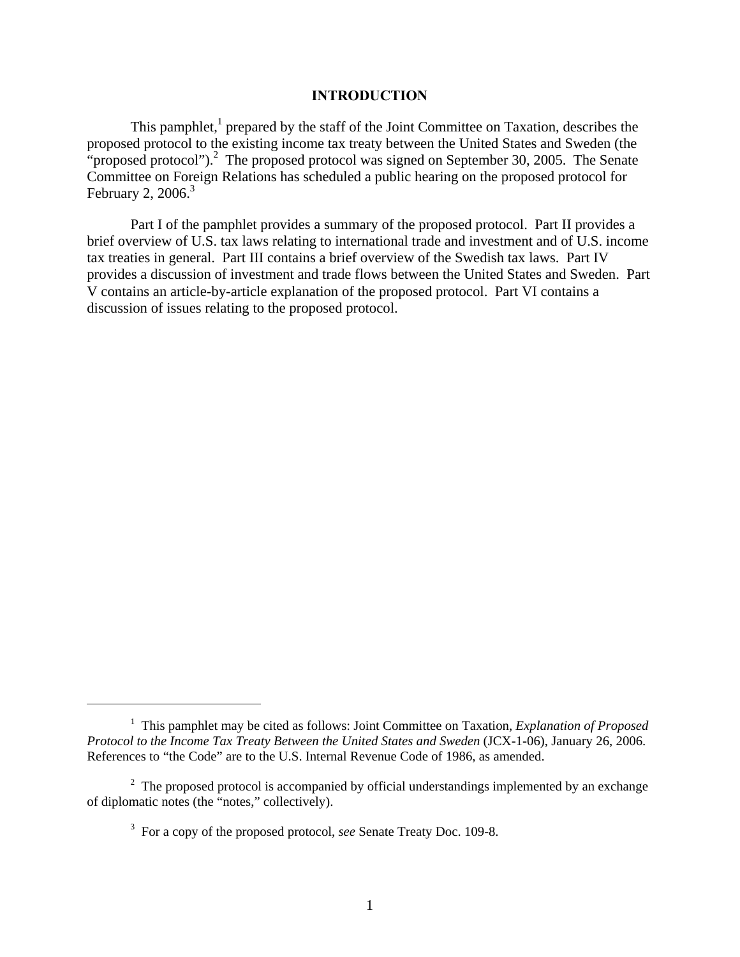### **INTRODUCTION**

This pamphlet, $<sup>1</sup>$  prepared by the staff of the Joint Committee on Taxation, describes the</sup> proposed protocol to the existing income tax treaty between the United States and Sweden (the "proposed protocol").<sup>2</sup> The proposed protocol was signed on September 30, 2005. The Senate Committee on Foreign Relations has scheduled a public hearing on the proposed protocol for February 2, 2006.<sup>3</sup>

Part I of the pamphlet provides a summary of the proposed protocol. Part II provides a brief overview of U.S. tax laws relating to international trade and investment and of U.S. income tax treaties in general. Part III contains a brief overview of the Swedish tax laws. Part IV provides a discussion of investment and trade flows between the United States and Sweden. Part V contains an article-by-article explanation of the proposed protocol. Part VI contains a discussion of issues relating to the proposed protocol.

 $\overline{a}$ 

<sup>&</sup>lt;sup>1</sup> This pamphlet may be cited as follows: Joint Committee on Taxation, *Explanation of Proposed Protocol to the Income Tax Treaty Between the United States and Sweden (JCX-1-06), January 26, 2006.* References to "the Code" are to the U.S. Internal Revenue Code of 1986, as amended.

 $2$  The proposed protocol is accompanied by official understandings implemented by an exchange of diplomatic notes (the "notes," collectively).

<sup>3</sup> For a copy of the proposed protocol, *see* Senate Treaty Doc. 109-8.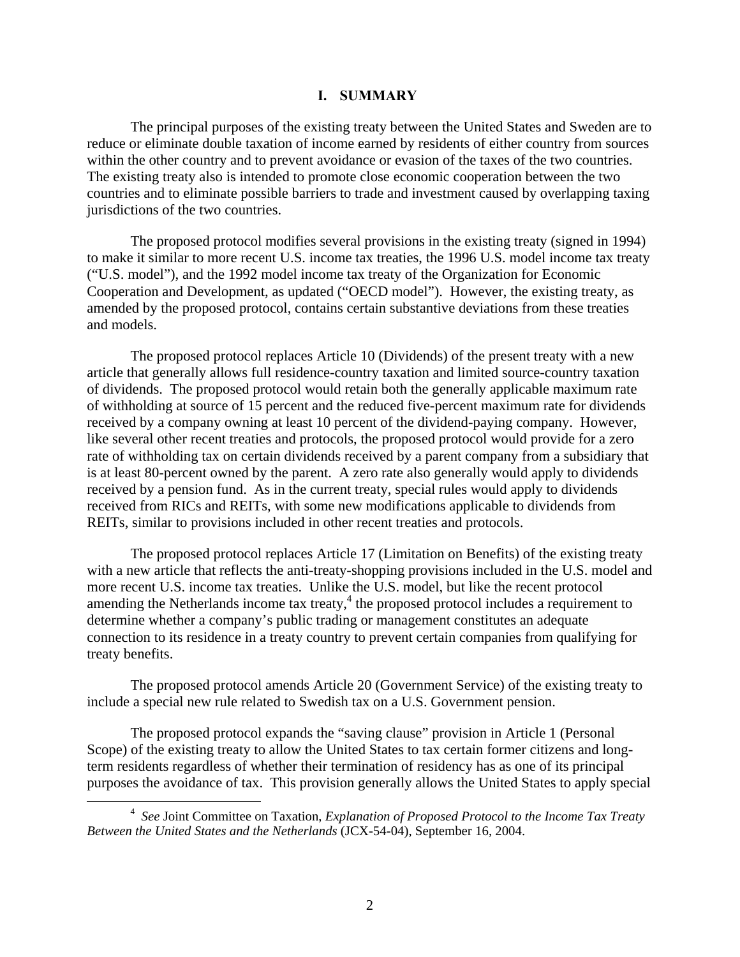### **I. SUMMARY**

The principal purposes of the existing treaty between the United States and Sweden are to reduce or eliminate double taxation of income earned by residents of either country from sources within the other country and to prevent avoidance or evasion of the taxes of the two countries. The existing treaty also is intended to promote close economic cooperation between the two countries and to eliminate possible barriers to trade and investment caused by overlapping taxing jurisdictions of the two countries.

The proposed protocol modifies several provisions in the existing treaty (signed in 1994) to make it similar to more recent U.S. income tax treaties, the 1996 U.S. model income tax treaty ("U.S. model"), and the 1992 model income tax treaty of the Organization for Economic Cooperation and Development, as updated ("OECD model"). However, the existing treaty, as amended by the proposed protocol, contains certain substantive deviations from these treaties and models.

The proposed protocol replaces Article 10 (Dividends) of the present treaty with a new article that generally allows full residence-country taxation and limited source-country taxation of dividends. The proposed protocol would retain both the generally applicable maximum rate of withholding at source of 15 percent and the reduced five-percent maximum rate for dividends received by a company owning at least 10 percent of the dividend-paying company. However, like several other recent treaties and protocols, the proposed protocol would provide for a zero rate of withholding tax on certain dividends received by a parent company from a subsidiary that is at least 80-percent owned by the parent. A zero rate also generally would apply to dividends received by a pension fund. As in the current treaty, special rules would apply to dividends received from RICs and REITs, with some new modifications applicable to dividends from REITs, similar to provisions included in other recent treaties and protocols.

The proposed protocol replaces Article 17 (Limitation on Benefits) of the existing treaty with a new article that reflects the anti-treaty-shopping provisions included in the U.S. model and more recent U.S. income tax treaties. Unlike the U.S. model, but like the recent protocol amending the Netherlands income tax treaty, $4$  the proposed protocol includes a requirement to determine whether a company's public trading or management constitutes an adequate connection to its residence in a treaty country to prevent certain companies from qualifying for treaty benefits.

The proposed protocol amends Article 20 (Government Service) of the existing treaty to include a special new rule related to Swedish tax on a U.S. Government pension.

The proposed protocol expands the "saving clause" provision in Article 1 (Personal Scope) of the existing treaty to allow the United States to tax certain former citizens and longterm residents regardless of whether their termination of residency has as one of its principal purposes the avoidance of tax. This provision generally allows the United States to apply special

 $\overline{4}$  *See* Joint Committee on Taxation, *Explanation of Proposed Protocol to the Income Tax Treaty Between the United States and the Netherlands* (JCX-54-04), September 16, 2004.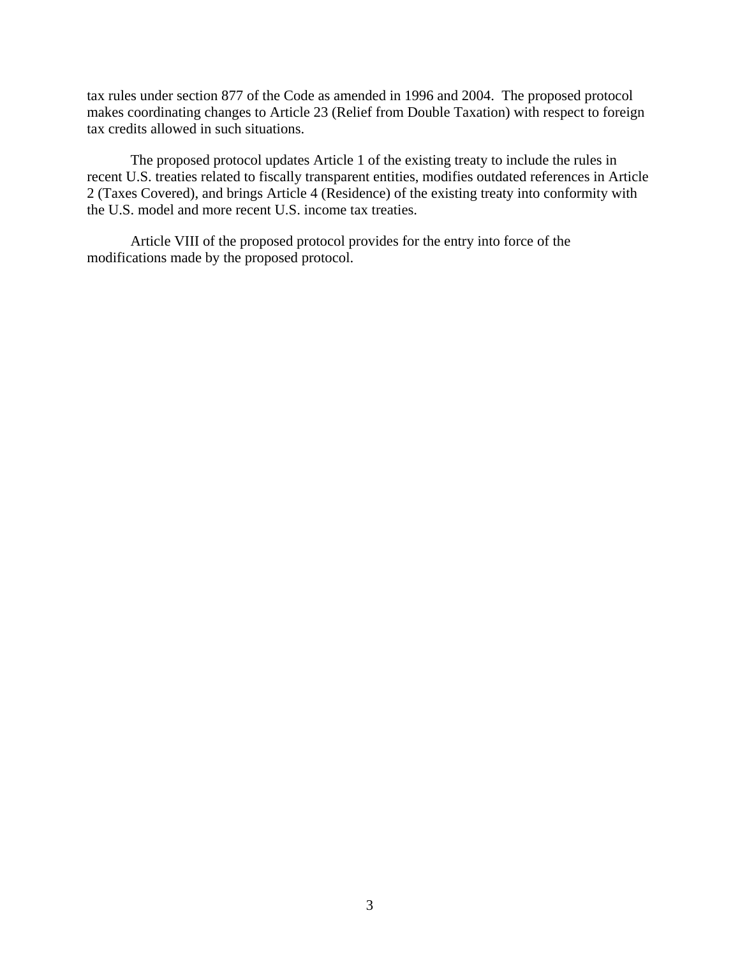tax rules under section 877 of the Code as amended in 1996 and 2004. The proposed protocol makes coordinating changes to Article 23 (Relief from Double Taxation) with respect to foreign tax credits allowed in such situations.

The proposed protocol updates Article 1 of the existing treaty to include the rules in recent U.S. treaties related to fiscally transparent entities, modifies outdated references in Article 2 (Taxes Covered), and brings Article 4 (Residence) of the existing treaty into conformity with the U.S. model and more recent U.S. income tax treaties.

Article VIII of the proposed protocol provides for the entry into force of the modifications made by the proposed protocol.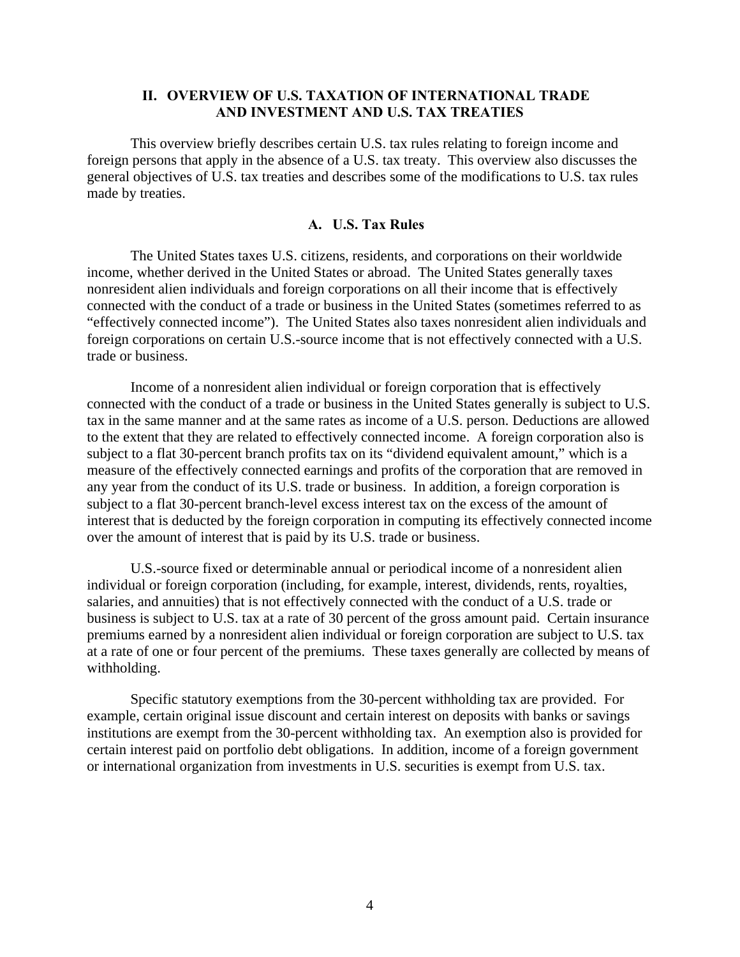# **II. OVERVIEW OF U.S. TAXATION OF INTERNATIONAL TRADE AND INVESTMENT AND U.S. TAX TREATIES**

This overview briefly describes certain U.S. tax rules relating to foreign income and foreign persons that apply in the absence of a U.S. tax treaty. This overview also discusses the general objectives of U.S. tax treaties and describes some of the modifications to U.S. tax rules made by treaties.

### **A. U.S. Tax Rules**

The United States taxes U.S. citizens, residents, and corporations on their worldwide income, whether derived in the United States or abroad. The United States generally taxes nonresident alien individuals and foreign corporations on all their income that is effectively connected with the conduct of a trade or business in the United States (sometimes referred to as "effectively connected income"). The United States also taxes nonresident alien individuals and foreign corporations on certain U.S.-source income that is not effectively connected with a U.S. trade or business.

Income of a nonresident alien individual or foreign corporation that is effectively connected with the conduct of a trade or business in the United States generally is subject to U.S. tax in the same manner and at the same rates as income of a U.S. person. Deductions are allowed to the extent that they are related to effectively connected income. A foreign corporation also is subject to a flat 30-percent branch profits tax on its "dividend equivalent amount," which is a measure of the effectively connected earnings and profits of the corporation that are removed in any year from the conduct of its U.S. trade or business. In addition, a foreign corporation is subject to a flat 30-percent branch-level excess interest tax on the excess of the amount of interest that is deducted by the foreign corporation in computing its effectively connected income over the amount of interest that is paid by its U.S. trade or business.

U.S.-source fixed or determinable annual or periodical income of a nonresident alien individual or foreign corporation (including, for example, interest, dividends, rents, royalties, salaries, and annuities) that is not effectively connected with the conduct of a U.S. trade or business is subject to U.S. tax at a rate of 30 percent of the gross amount paid. Certain insurance premiums earned by a nonresident alien individual or foreign corporation are subject to U.S. tax at a rate of one or four percent of the premiums. These taxes generally are collected by means of withholding.

Specific statutory exemptions from the 30-percent withholding tax are provided. For example, certain original issue discount and certain interest on deposits with banks or savings institutions are exempt from the 30-percent withholding tax. An exemption also is provided for certain interest paid on portfolio debt obligations. In addition, income of a foreign government or international organization from investments in U.S. securities is exempt from U.S. tax.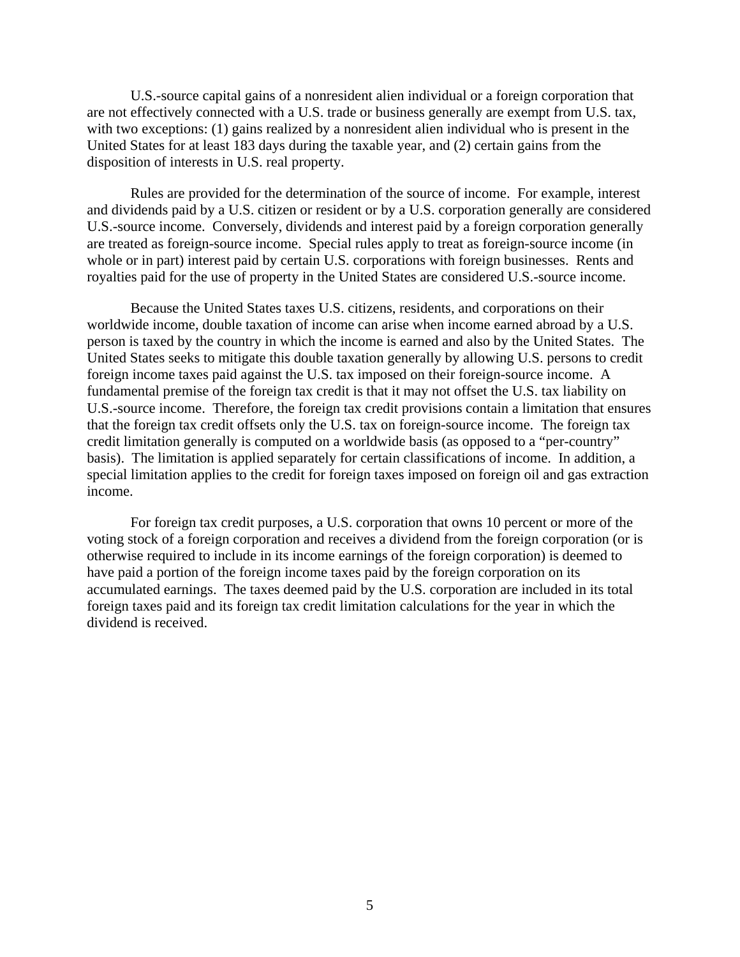U.S.-source capital gains of a nonresident alien individual or a foreign corporation that are not effectively connected with a U.S. trade or business generally are exempt from U.S. tax, with two exceptions: (1) gains realized by a nonresident alien individual who is present in the United States for at least 183 days during the taxable year, and (2) certain gains from the disposition of interests in U.S. real property.

Rules are provided for the determination of the source of income. For example, interest and dividends paid by a U.S. citizen or resident or by a U.S. corporation generally are considered U.S.-source income. Conversely, dividends and interest paid by a foreign corporation generally are treated as foreign-source income. Special rules apply to treat as foreign-source income (in whole or in part) interest paid by certain U.S. corporations with foreign businesses. Rents and royalties paid for the use of property in the United States are considered U.S.-source income.

Because the United States taxes U.S. citizens, residents, and corporations on their worldwide income, double taxation of income can arise when income earned abroad by a U.S. person is taxed by the country in which the income is earned and also by the United States. The United States seeks to mitigate this double taxation generally by allowing U.S. persons to credit foreign income taxes paid against the U.S. tax imposed on their foreign-source income. A fundamental premise of the foreign tax credit is that it may not offset the U.S. tax liability on U.S.-source income. Therefore, the foreign tax credit provisions contain a limitation that ensures that the foreign tax credit offsets only the U.S. tax on foreign-source income. The foreign tax credit limitation generally is computed on a worldwide basis (as opposed to a "per-country" basis). The limitation is applied separately for certain classifications of income. In addition, a special limitation applies to the credit for foreign taxes imposed on foreign oil and gas extraction income.

For foreign tax credit purposes, a U.S. corporation that owns 10 percent or more of the voting stock of a foreign corporation and receives a dividend from the foreign corporation (or is otherwise required to include in its income earnings of the foreign corporation) is deemed to have paid a portion of the foreign income taxes paid by the foreign corporation on its accumulated earnings. The taxes deemed paid by the U.S. corporation are included in its total foreign taxes paid and its foreign tax credit limitation calculations for the year in which the dividend is received.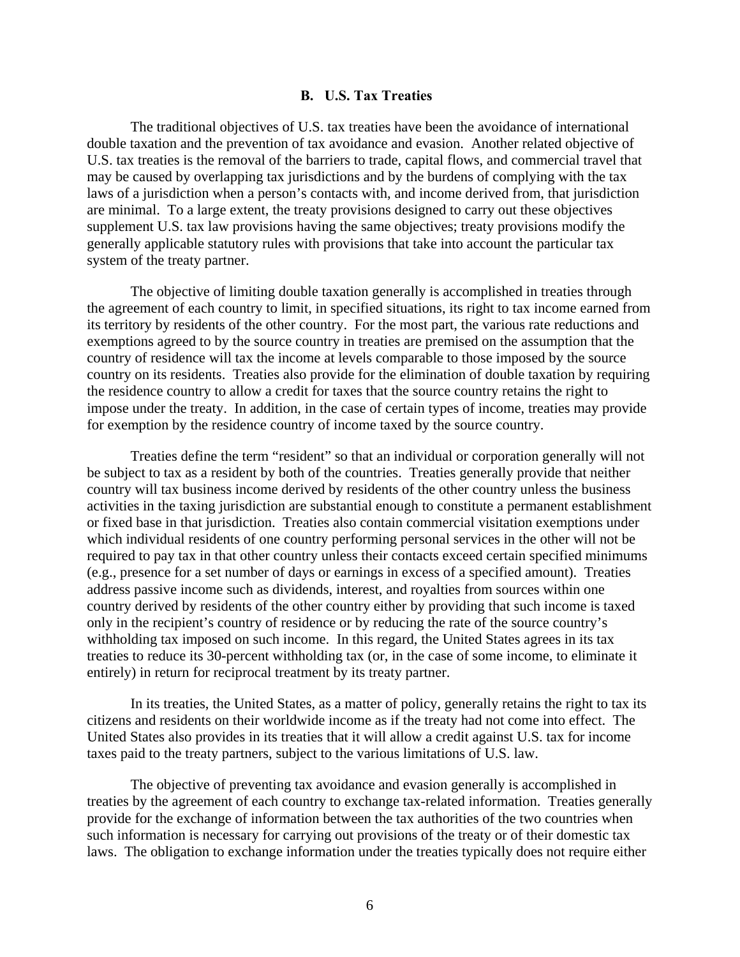### **B. U.S. Tax Treaties**

The traditional objectives of U.S. tax treaties have been the avoidance of international double taxation and the prevention of tax avoidance and evasion. Another related objective of U.S. tax treaties is the removal of the barriers to trade, capital flows, and commercial travel that may be caused by overlapping tax jurisdictions and by the burdens of complying with the tax laws of a jurisdiction when a person's contacts with, and income derived from, that jurisdiction are minimal. To a large extent, the treaty provisions designed to carry out these objectives supplement U.S. tax law provisions having the same objectives; treaty provisions modify the generally applicable statutory rules with provisions that take into account the particular tax system of the treaty partner.

The objective of limiting double taxation generally is accomplished in treaties through the agreement of each country to limit, in specified situations, its right to tax income earned from its territory by residents of the other country. For the most part, the various rate reductions and exemptions agreed to by the source country in treaties are premised on the assumption that the country of residence will tax the income at levels comparable to those imposed by the source country on its residents. Treaties also provide for the elimination of double taxation by requiring the residence country to allow a credit for taxes that the source country retains the right to impose under the treaty. In addition, in the case of certain types of income, treaties may provide for exemption by the residence country of income taxed by the source country.

Treaties define the term "resident" so that an individual or corporation generally will not be subject to tax as a resident by both of the countries. Treaties generally provide that neither country will tax business income derived by residents of the other country unless the business activities in the taxing jurisdiction are substantial enough to constitute a permanent establishment or fixed base in that jurisdiction. Treaties also contain commercial visitation exemptions under which individual residents of one country performing personal services in the other will not be required to pay tax in that other country unless their contacts exceed certain specified minimums (e.g., presence for a set number of days or earnings in excess of a specified amount). Treaties address passive income such as dividends, interest, and royalties from sources within one country derived by residents of the other country either by providing that such income is taxed only in the recipient's country of residence or by reducing the rate of the source country's withholding tax imposed on such income. In this regard, the United States agrees in its tax treaties to reduce its 30-percent withholding tax (or, in the case of some income, to eliminate it entirely) in return for reciprocal treatment by its treaty partner.

In its treaties, the United States, as a matter of policy, generally retains the right to tax its citizens and residents on their worldwide income as if the treaty had not come into effect. The United States also provides in its treaties that it will allow a credit against U.S. tax for income taxes paid to the treaty partners, subject to the various limitations of U.S. law.

The objective of preventing tax avoidance and evasion generally is accomplished in treaties by the agreement of each country to exchange tax-related information. Treaties generally provide for the exchange of information between the tax authorities of the two countries when such information is necessary for carrying out provisions of the treaty or of their domestic tax laws. The obligation to exchange information under the treaties typically does not require either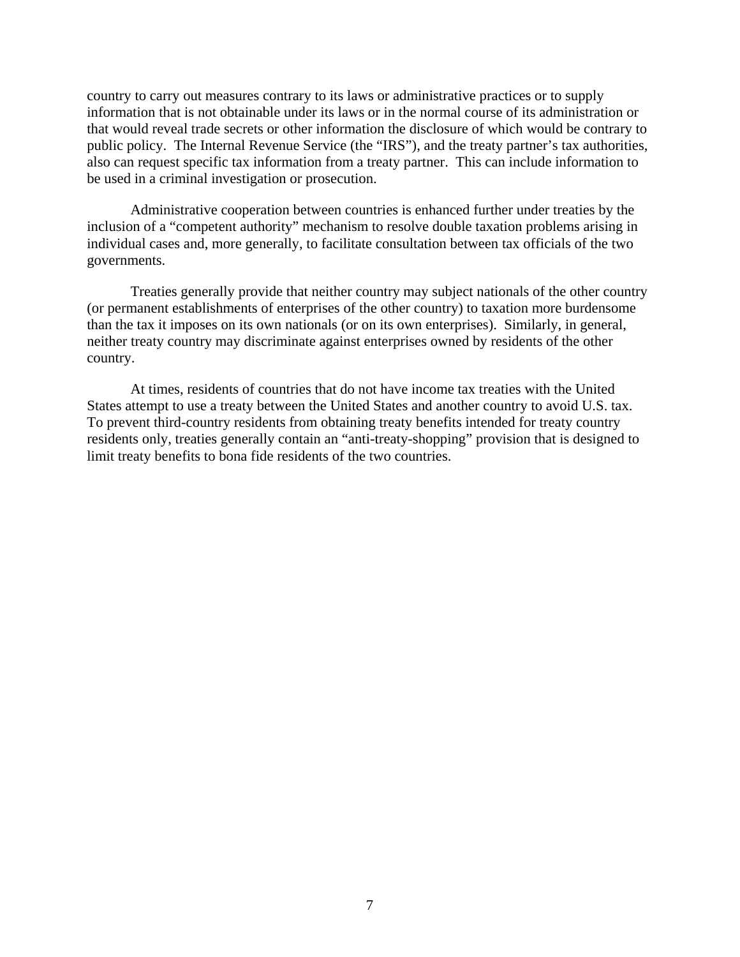country to carry out measures contrary to its laws or administrative practices or to supply information that is not obtainable under its laws or in the normal course of its administration or that would reveal trade secrets or other information the disclosure of which would be contrary to public policy. The Internal Revenue Service (the "IRS"), and the treaty partner's tax authorities, also can request specific tax information from a treaty partner. This can include information to be used in a criminal investigation or prosecution.

Administrative cooperation between countries is enhanced further under treaties by the inclusion of a "competent authority" mechanism to resolve double taxation problems arising in individual cases and, more generally, to facilitate consultation between tax officials of the two governments.

Treaties generally provide that neither country may subject nationals of the other country (or permanent establishments of enterprises of the other country) to taxation more burdensome than the tax it imposes on its own nationals (or on its own enterprises). Similarly, in general, neither treaty country may discriminate against enterprises owned by residents of the other country.

At times, residents of countries that do not have income tax treaties with the United States attempt to use a treaty between the United States and another country to avoid U.S. tax. To prevent third-country residents from obtaining treaty benefits intended for treaty country residents only, treaties generally contain an "anti-treaty-shopping" provision that is designed to limit treaty benefits to bona fide residents of the two countries.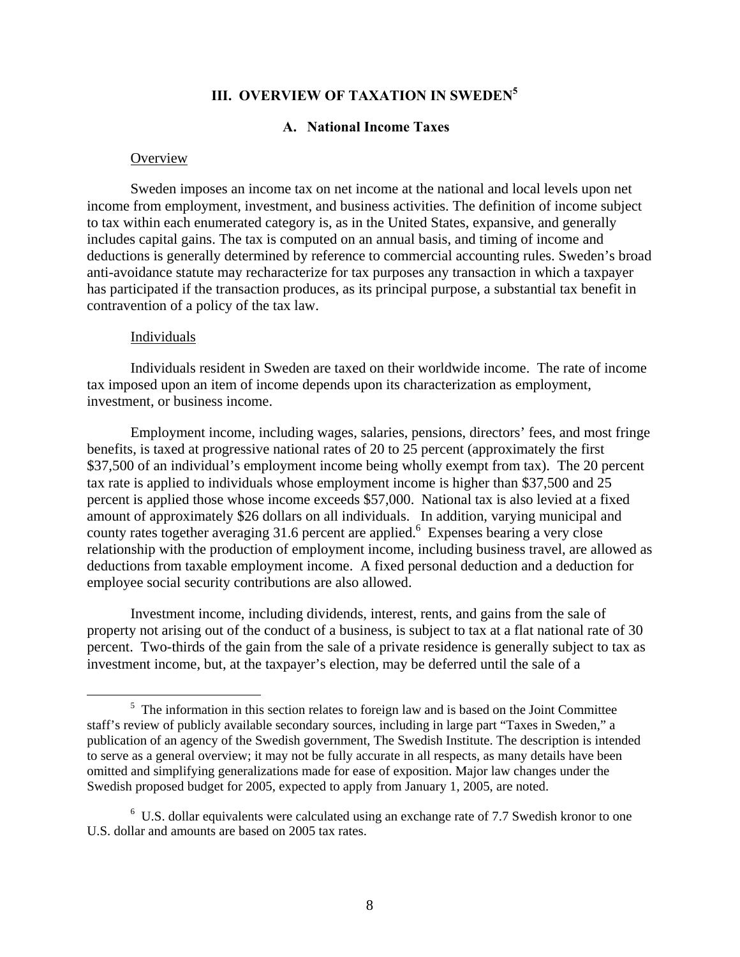# **III. OVERVIEW OF TAXATION IN SWEDEN<sup>5</sup>**

### **A. National Income Taxes**

#### **Overview**

Sweden imposes an income tax on net income at the national and local levels upon net income from employment, investment, and business activities. The definition of income subject to tax within each enumerated category is, as in the United States, expansive, and generally includes capital gains. The tax is computed on an annual basis, and timing of income and deductions is generally determined by reference to commercial accounting rules. Sweden's broad anti-avoidance statute may recharacterize for tax purposes any transaction in which a taxpayer has participated if the transaction produces, as its principal purpose, a substantial tax benefit in contravention of a policy of the tax law.

#### Individuals

Individuals resident in Sweden are taxed on their worldwide income. The rate of income tax imposed upon an item of income depends upon its characterization as employment, investment, or business income.

Employment income, including wages, salaries, pensions, directors' fees, and most fringe benefits, is taxed at progressive national rates of 20 to 25 percent (approximately the first \$37,500 of an individual's employment income being wholly exempt from tax). The 20 percent tax rate is applied to individuals whose employment income is higher than \$37,500 and 25 percent is applied those whose income exceeds \$57,000. National tax is also levied at a fixed amount of approximately \$26 dollars on all individuals. In addition, varying municipal and county rates together averaging 31.6 percent are applied.<sup>6</sup> Expenses bearing a very close relationship with the production of employment income, including business travel, are allowed as deductions from taxable employment income. A fixed personal deduction and a deduction for employee social security contributions are also allowed.

Investment income, including dividends, interest, rents, and gains from the sale of property not arising out of the conduct of a business, is subject to tax at a flat national rate of 30 percent. Two-thirds of the gain from the sale of a private residence is generally subject to tax as investment income, but, at the taxpayer's election, may be deferred until the sale of a

 $rac{1}{5}$  $<sup>5</sup>$  The information in this section relates to foreign law and is based on the Joint Committee</sup> staff's review of publicly available secondary sources, including in large part "Taxes in Sweden," a publication of an agency of the Swedish government, The Swedish Institute. The description is intended to serve as a general overview; it may not be fully accurate in all respects, as many details have been omitted and simplifying generalizations made for ease of exposition. Major law changes under the Swedish proposed budget for 2005, expected to apply from January 1, 2005, are noted.

 $6$  U.S. dollar equivalents were calculated using an exchange rate of 7.7 Swedish kronor to one U.S. dollar and amounts are based on 2005 tax rates.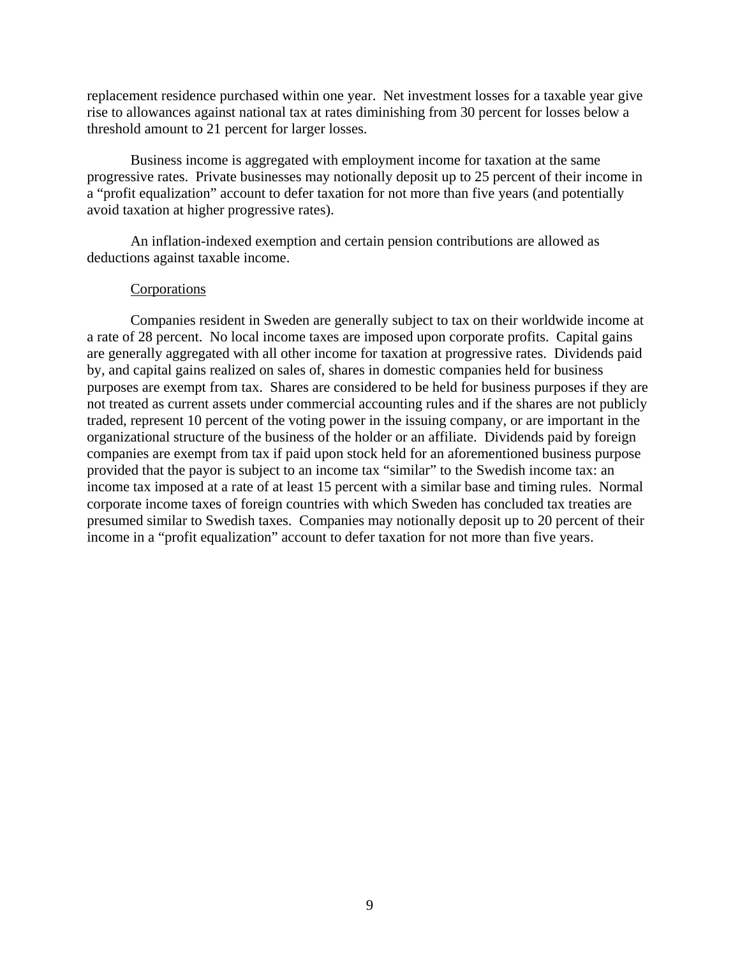replacement residence purchased within one year. Net investment losses for a taxable year give rise to allowances against national tax at rates diminishing from 30 percent for losses below a threshold amount to 21 percent for larger losses.

Business income is aggregated with employment income for taxation at the same progressive rates. Private businesses may notionally deposit up to 25 percent of their income in a "profit equalization" account to defer taxation for not more than five years (and potentially avoid taxation at higher progressive rates).

An inflation-indexed exemption and certain pension contributions are allowed as deductions against taxable income.

### Corporations

Companies resident in Sweden are generally subject to tax on their worldwide income at a rate of 28 percent. No local income taxes are imposed upon corporate profits. Capital gains are generally aggregated with all other income for taxation at progressive rates. Dividends paid by, and capital gains realized on sales of, shares in domestic companies held for business purposes are exempt from tax. Shares are considered to be held for business purposes if they are not treated as current assets under commercial accounting rules and if the shares are not publicly traded, represent 10 percent of the voting power in the issuing company, or are important in the organizational structure of the business of the holder or an affiliate. Dividends paid by foreign companies are exempt from tax if paid upon stock held for an aforementioned business purpose provided that the payor is subject to an income tax "similar" to the Swedish income tax: an income tax imposed at a rate of at least 15 percent with a similar base and timing rules. Normal corporate income taxes of foreign countries with which Sweden has concluded tax treaties are presumed similar to Swedish taxes. Companies may notionally deposit up to 20 percent of their income in a "profit equalization" account to defer taxation for not more than five years.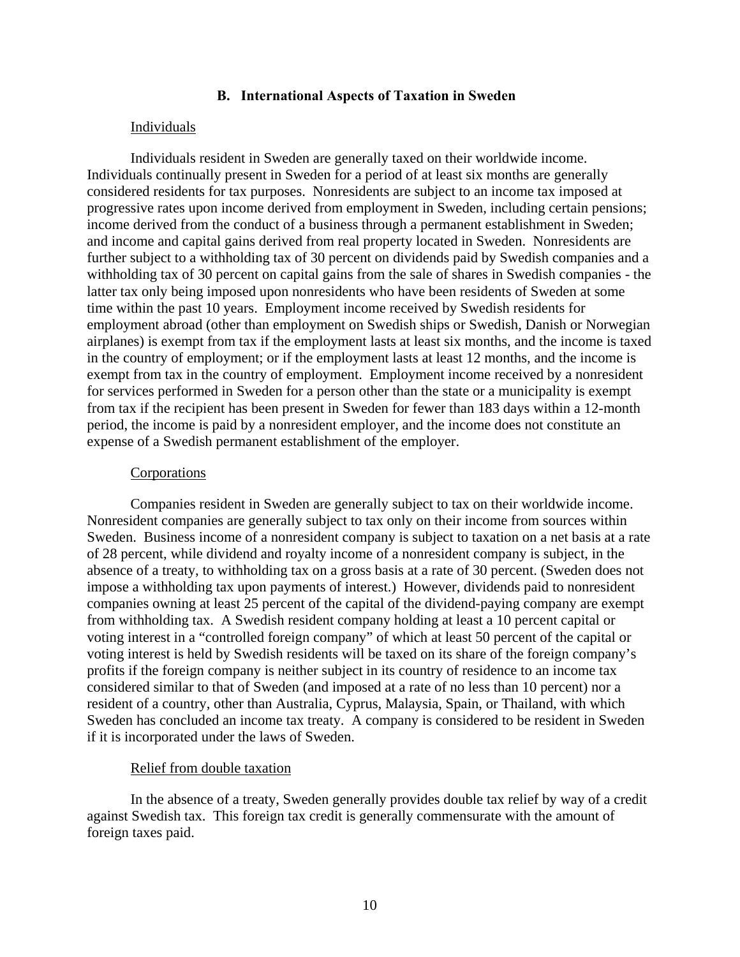### **B. International Aspects of Taxation in Sweden**

#### Individuals

Individuals resident in Sweden are generally taxed on their worldwide income. Individuals continually present in Sweden for a period of at least six months are generally considered residents for tax purposes. Nonresidents are subject to an income tax imposed at progressive rates upon income derived from employment in Sweden, including certain pensions; income derived from the conduct of a business through a permanent establishment in Sweden; and income and capital gains derived from real property located in Sweden. Nonresidents are further subject to a withholding tax of 30 percent on dividends paid by Swedish companies and a withholding tax of 30 percent on capital gains from the sale of shares in Swedish companies - the latter tax only being imposed upon nonresidents who have been residents of Sweden at some time within the past 10 years. Employment income received by Swedish residents for employment abroad (other than employment on Swedish ships or Swedish, Danish or Norwegian airplanes) is exempt from tax if the employment lasts at least six months, and the income is taxed in the country of employment; or if the employment lasts at least 12 months, and the income is exempt from tax in the country of employment. Employment income received by a nonresident for services performed in Sweden for a person other than the state or a municipality is exempt from tax if the recipient has been present in Sweden for fewer than 183 days within a 12-month period, the income is paid by a nonresident employer, and the income does not constitute an expense of a Swedish permanent establishment of the employer.

#### **Corporations**

Companies resident in Sweden are generally subject to tax on their worldwide income. Nonresident companies are generally subject to tax only on their income from sources within Sweden. Business income of a nonresident company is subject to taxation on a net basis at a rate of 28 percent, while dividend and royalty income of a nonresident company is subject, in the absence of a treaty, to withholding tax on a gross basis at a rate of 30 percent. (Sweden does not impose a withholding tax upon payments of interest.) However, dividends paid to nonresident companies owning at least 25 percent of the capital of the dividend-paying company are exempt from withholding tax. A Swedish resident company holding at least a 10 percent capital or voting interest in a "controlled foreign company" of which at least 50 percent of the capital or voting interest is held by Swedish residents will be taxed on its share of the foreign company's profits if the foreign company is neither subject in its country of residence to an income tax considered similar to that of Sweden (and imposed at a rate of no less than 10 percent) nor a resident of a country, other than Australia, Cyprus, Malaysia, Spain, or Thailand, with which Sweden has concluded an income tax treaty. A company is considered to be resident in Sweden if it is incorporated under the laws of Sweden.

#### Relief from double taxation

In the absence of a treaty, Sweden generally provides double tax relief by way of a credit against Swedish tax. This foreign tax credit is generally commensurate with the amount of foreign taxes paid.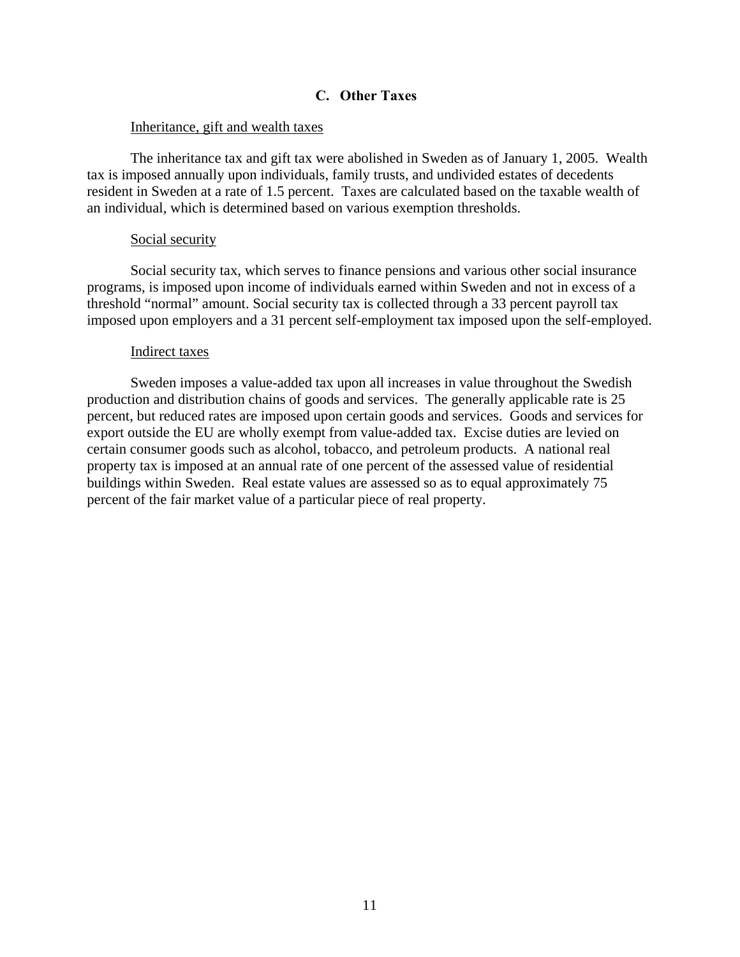### **C. Other Taxes**

### Inheritance, gift and wealth taxes

The inheritance tax and gift tax were abolished in Sweden as of January 1, 2005. Wealth tax is imposed annually upon individuals, family trusts, and undivided estates of decedents resident in Sweden at a rate of 1.5 percent. Taxes are calculated based on the taxable wealth of an individual, which is determined based on various exemption thresholds.

### Social security

Social security tax, which serves to finance pensions and various other social insurance programs, is imposed upon income of individuals earned within Sweden and not in excess of a threshold "normal" amount. Social security tax is collected through a 33 percent payroll tax imposed upon employers and a 31 percent self-employment tax imposed upon the self-employed.

#### Indirect taxes

Sweden imposes a value-added tax upon all increases in value throughout the Swedish production and distribution chains of goods and services. The generally applicable rate is 25 percent, but reduced rates are imposed upon certain goods and services. Goods and services for export outside the EU are wholly exempt from value-added tax. Excise duties are levied on certain consumer goods such as alcohol, tobacco, and petroleum products. A national real property tax is imposed at an annual rate of one percent of the assessed value of residential buildings within Sweden. Real estate values are assessed so as to equal approximately 75 percent of the fair market value of a particular piece of real property.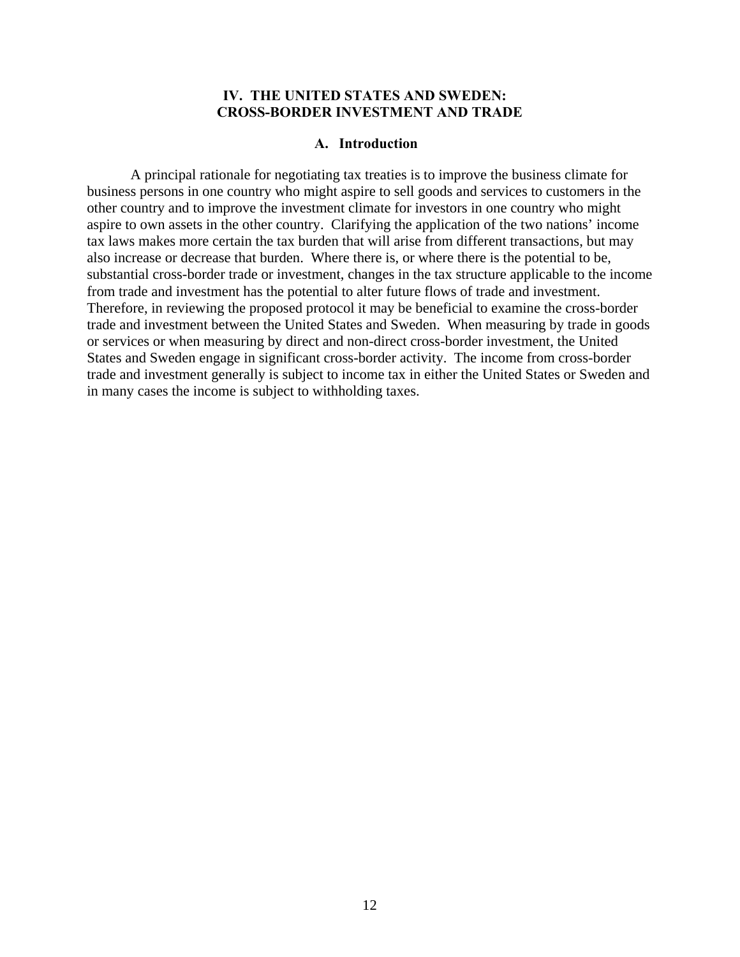### **IV. THE UNITED STATES AND SWEDEN: CROSS-BORDER INVESTMENT AND TRADE**

#### **A. Introduction**

A principal rationale for negotiating tax treaties is to improve the business climate for business persons in one country who might aspire to sell goods and services to customers in the other country and to improve the investment climate for investors in one country who might aspire to own assets in the other country. Clarifying the application of the two nations' income tax laws makes more certain the tax burden that will arise from different transactions, but may also increase or decrease that burden. Where there is, or where there is the potential to be, substantial cross-border trade or investment, changes in the tax structure applicable to the income from trade and investment has the potential to alter future flows of trade and investment. Therefore, in reviewing the proposed protocol it may be beneficial to examine the cross-border trade and investment between the United States and Sweden. When measuring by trade in goods or services or when measuring by direct and non-direct cross-border investment, the United States and Sweden engage in significant cross-border activity. The income from cross-border trade and investment generally is subject to income tax in either the United States or Sweden and in many cases the income is subject to withholding taxes.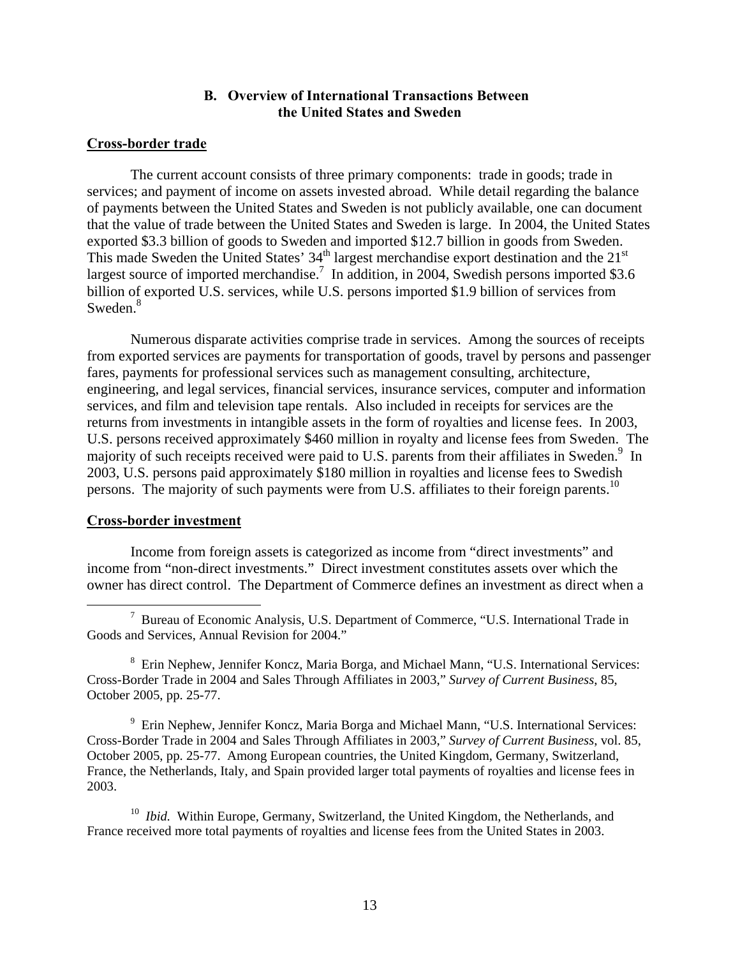# **B. Overview of International Transactions Between the United States and Sweden**

### **Cross-border trade**

The current account consists of three primary components: trade in goods; trade in services; and payment of income on assets invested abroad. While detail regarding the balance of payments between the United States and Sweden is not publicly available, one can document that the value of trade between the United States and Sweden is large. In 2004, the United States exported \$3.3 billion of goods to Sweden and imported \$12.7 billion in goods from Sweden. This made Sweden the United States'  $34<sup>th</sup>$  largest merchandise export destination and the  $21<sup>st</sup>$ largest source of imported merchandise.<sup>7</sup> In addition, in 2004, Swedish persons imported \$3.6 billion of exported U.S. services, while U.S. persons imported \$1.9 billion of services from Sweden.<sup>8</sup>

Numerous disparate activities comprise trade in services. Among the sources of receipts from exported services are payments for transportation of goods, travel by persons and passenger fares, payments for professional services such as management consulting, architecture, engineering, and legal services, financial services, insurance services, computer and information services, and film and television tape rentals. Also included in receipts for services are the returns from investments in intangible assets in the form of royalties and license fees. In 2003, U.S. persons received approximately \$460 million in royalty and license fees from Sweden. The majority of such receipts received were paid to U.S. parents from their affiliates in Sweden.<sup>9</sup> In 2003, U.S. persons paid approximately \$180 million in royalties and license fees to Swedish persons. The majority of such payments were from U.S. affiliates to their foreign parents.<sup>10</sup>

### **Cross-border investment**

Income from foreign assets is categorized as income from "direct investments" and income from "non-direct investments." Direct investment constitutes assets over which the owner has direct control. The Department of Commerce defines an investment as direct when a

<sup>8</sup> Erin Nephew, Jennifer Koncz, Maria Borga, and Michael Mann, "U.S. International Services: Cross-Border Trade in 2004 and Sales Through Affiliates in 2003," *Survey of Current Business*, 85, October 2005, pp. 25-77.

<sup>9</sup> Erin Nephew, Jennifer Koncz, Maria Borga and Michael Mann, "U.S. International Services: Cross-Border Trade in 2004 and Sales Through Affiliates in 2003," *Survey of Current Business*, vol. 85, October 2005, pp. 25-77. Among European countries, the United Kingdom, Germany, Switzerland, France, the Netherlands, Italy, and Spain provided larger total payments of royalties and license fees in 2003.

<sup>10</sup> *Ibid.* Within Europe, Germany, Switzerland, the United Kingdom, the Netherlands, and France received more total payments of royalties and license fees from the United States in 2003.

 <sup>7</sup>  $\frac{7}{1}$  Bureau of Economic Analysis, U.S. Department of Commerce, "U.S. International Trade in Goods and Services, Annual Revision for 2004."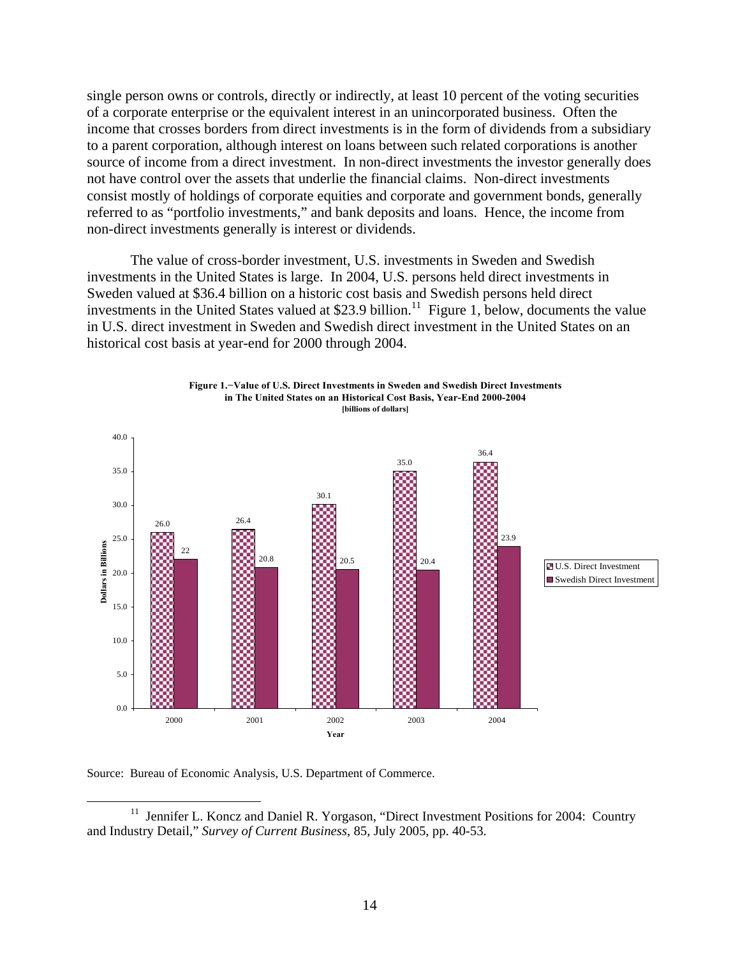single person owns or controls, directly or indirectly, at least 10 percent of the voting securities of a corporate enterprise or the equivalent interest in an unincorporated business. Often the income that crosses borders from direct investments is in the form of dividends from a subsidiary to a parent corporation, although interest on loans between such related corporations is another source of income from a direct investment. In non-direct investments the investor generally does not have control over the assets that underlie the financial claims. Non-direct investments consist mostly of holdings of corporate equities and corporate and government bonds, generally referred to as "portfolio investments," and bank deposits and loans. Hence, the income from non-direct investments generally is interest or dividends.

The value of cross-border investment, U.S. investments in Sweden and Swedish investments in the United States is large. In 2004, U.S. persons held direct investments in Sweden valued at \$36.4 billion on a historic cost basis and Swedish persons held direct investments in the United States valued at \$23.9 billion.<sup>11</sup> Figure 1, below, documents the value in U.S. direct investment in Sweden and Swedish direct investment in the United States on an historical cost basis at year-end for 2000 through 2004.

**Figure 1.−Value of U.S. Direct Investments in Sweden and Swedish Direct Investments**



Source: Bureau of Economic Analysis, U.S. Department of Commerce.

<sup>&</sup>lt;sup>11</sup> Jennifer L. Koncz and Daniel R. Yorgason, "Direct Investment Positions for 2004: Country and Industry Detail," *Survey of Current Business*, 85, July 2005, pp. 40-53.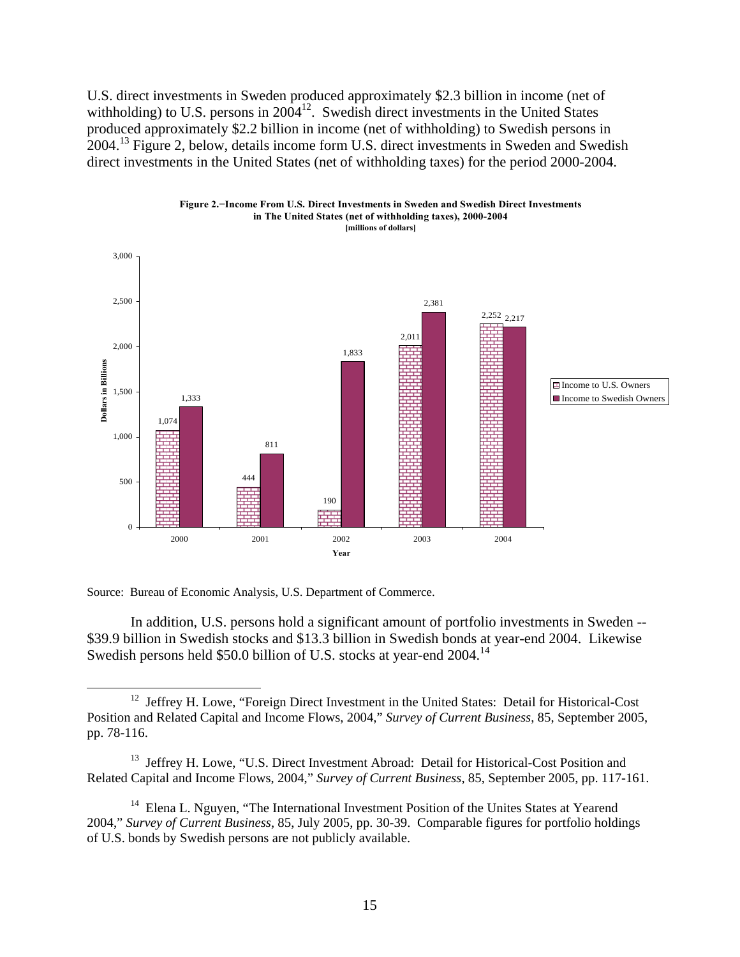U.S. direct investments in Sweden produced approximately \$2.3 billion in income (net of withholding) to U.S. persons in  $2004^{12}$ . Swedish direct investments in the United States produced approximately \$2.2 billion in income (net of withholding) to Swedish persons in 2004.13 Figure 2, below, details income form U.S. direct investments in Sweden and Swedish direct investments in the United States (net of withholding taxes) for the period 2000-2004.





Source: Bureau of Economic Analysis, U.S. Department of Commerce.

In addition, U.S. persons hold a significant amount of portfolio investments in Sweden -- \$39.9 billion in Swedish stocks and \$13.3 billion in Swedish bonds at year-end 2004. Likewise Swedish persons held \$50.0 billion of U.S. stocks at year-end 2004.<sup>14</sup>

<sup>&</sup>lt;sup>12</sup> Jeffrey H. Lowe, "Foreign Direct Investment in the United States: Detail for Historical-Cost Position and Related Capital and Income Flows, 2004," *Survey of Current Business*, 85, September 2005, pp. 78-116.

<sup>&</sup>lt;sup>13</sup> Jeffrey H. Lowe, "U.S. Direct Investment Abroad: Detail for Historical-Cost Position and Related Capital and Income Flows, 2004," *Survey of Current Business*, 85, September 2005, pp. 117-161.

<sup>&</sup>lt;sup>14</sup> Elena L. Nguyen, "The International Investment Position of the Unites States at Yearend 2004," *Survey of Current Business*, 85, July 2005, pp. 30-39. Comparable figures for portfolio holdings of U.S. bonds by Swedish persons are not publicly available.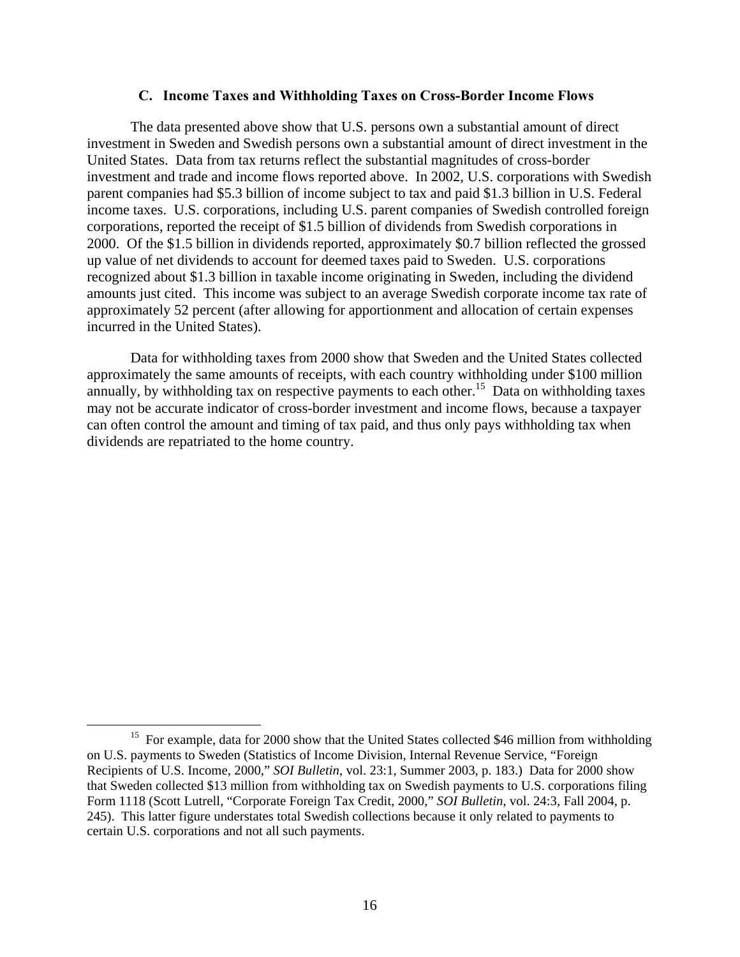#### **C. Income Taxes and Withholding Taxes on Cross-Border Income Flows**

The data presented above show that U.S. persons own a substantial amount of direct investment in Sweden and Swedish persons own a substantial amount of direct investment in the United States. Data from tax returns reflect the substantial magnitudes of cross-border investment and trade and income flows reported above. In 2002, U.S. corporations with Swedish parent companies had \$5.3 billion of income subject to tax and paid \$1.3 billion in U.S. Federal income taxes. U.S. corporations, including U.S. parent companies of Swedish controlled foreign corporations, reported the receipt of \$1.5 billion of dividends from Swedish corporations in 2000. Of the \$1.5 billion in dividends reported, approximately \$0.7 billion reflected the grossed up value of net dividends to account for deemed taxes paid to Sweden. U.S. corporations recognized about \$1.3 billion in taxable income originating in Sweden, including the dividend amounts just cited. This income was subject to an average Swedish corporate income tax rate of approximately 52 percent (after allowing for apportionment and allocation of certain expenses incurred in the United States).

Data for withholding taxes from 2000 show that Sweden and the United States collected approximately the same amounts of receipts, with each country withholding under \$100 million annually, by withholding tax on respective payments to each other.<sup>15</sup> Data on withholding taxes may not be accurate indicator of cross-border investment and income flows, because a taxpayer can often control the amount and timing of tax paid, and thus only pays withholding tax when dividends are repatriated to the home country.

<sup>&</sup>lt;sup>15</sup> For example, data for 2000 show that the United States collected \$46 million from withholding on U.S. payments to Sweden (Statistics of Income Division, Internal Revenue Service, "Foreign Recipients of U.S. Income, 2000," *SOI Bulletin*, vol. 23:1, Summer 2003, p. 183.) Data for 2000 show that Sweden collected \$13 million from withholding tax on Swedish payments to U.S. corporations filing Form 1118 (Scott Lutrell, "Corporate Foreign Tax Credit, 2000," *SOI Bulletin*, vol. 24:3, Fall 2004, p. 245). This latter figure understates total Swedish collections because it only related to payments to certain U.S. corporations and not all such payments.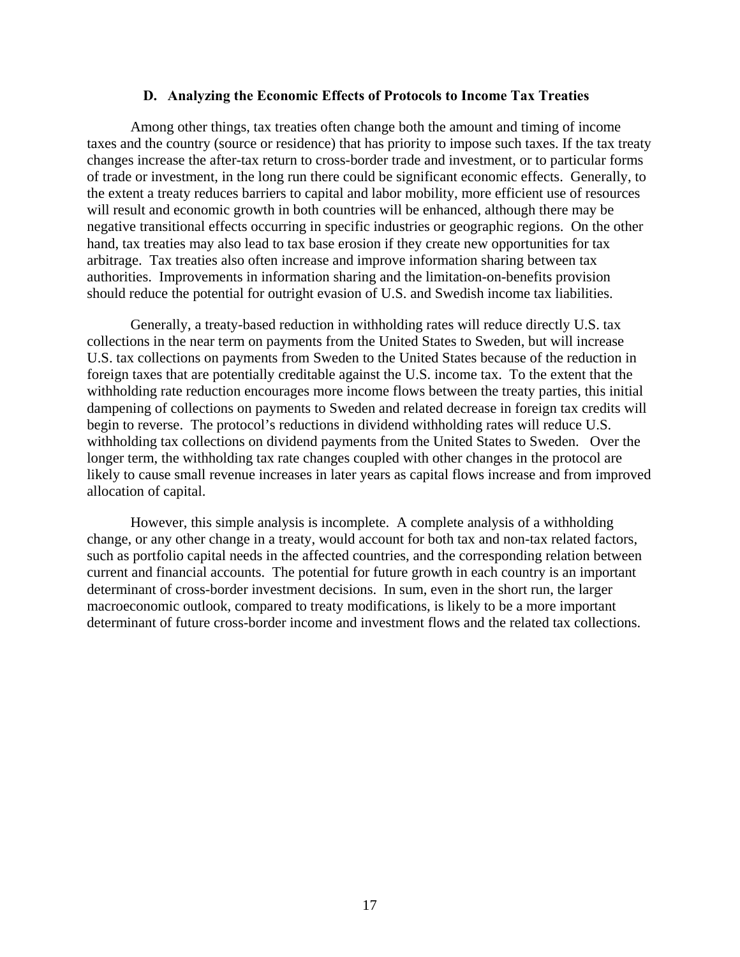#### **D. Analyzing the Economic Effects of Protocols to Income Tax Treaties**

Among other things, tax treaties often change both the amount and timing of income taxes and the country (source or residence) that has priority to impose such taxes. If the tax treaty changes increase the after-tax return to cross-border trade and investment, or to particular forms of trade or investment, in the long run there could be significant economic effects. Generally, to the extent a treaty reduces barriers to capital and labor mobility, more efficient use of resources will result and economic growth in both countries will be enhanced, although there may be negative transitional effects occurring in specific industries or geographic regions. On the other hand, tax treaties may also lead to tax base erosion if they create new opportunities for tax arbitrage. Tax treaties also often increase and improve information sharing between tax authorities. Improvements in information sharing and the limitation-on-benefits provision should reduce the potential for outright evasion of U.S. and Swedish income tax liabilities.

Generally, a treaty-based reduction in withholding rates will reduce directly U.S. tax collections in the near term on payments from the United States to Sweden, but will increase U.S. tax collections on payments from Sweden to the United States because of the reduction in foreign taxes that are potentially creditable against the U.S. income tax. To the extent that the withholding rate reduction encourages more income flows between the treaty parties, this initial dampening of collections on payments to Sweden and related decrease in foreign tax credits will begin to reverse. The protocol's reductions in dividend withholding rates will reduce U.S. withholding tax collections on dividend payments from the United States to Sweden. Over the longer term, the withholding tax rate changes coupled with other changes in the protocol are likely to cause small revenue increases in later years as capital flows increase and from improved allocation of capital.

However, this simple analysis is incomplete. A complete analysis of a withholding change, or any other change in a treaty, would account for both tax and non-tax related factors, such as portfolio capital needs in the affected countries, and the corresponding relation between current and financial accounts. The potential for future growth in each country is an important determinant of cross-border investment decisions. In sum, even in the short run, the larger macroeconomic outlook, compared to treaty modifications, is likely to be a more important determinant of future cross-border income and investment flows and the related tax collections.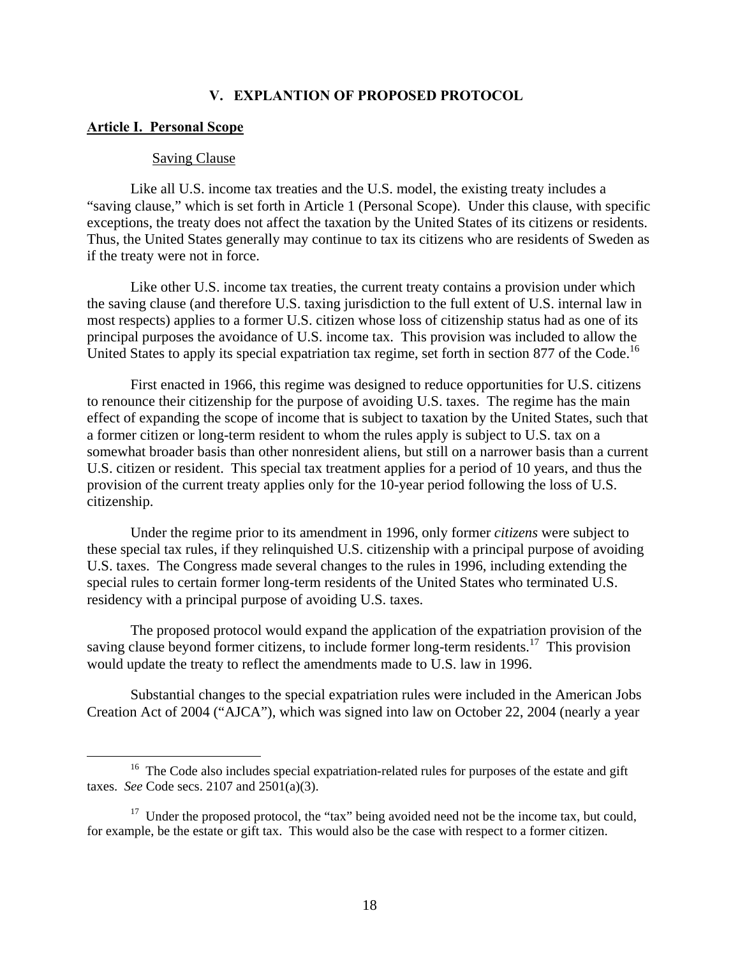### **V. EXPLANTION OF PROPOSED PROTOCOL**

#### **Article I. Personal Scope**

#### Saving Clause

Like all U.S. income tax treaties and the U.S. model, the existing treaty includes a "saving clause," which is set forth in Article 1 (Personal Scope). Under this clause, with specific exceptions, the treaty does not affect the taxation by the United States of its citizens or residents. Thus, the United States generally may continue to tax its citizens who are residents of Sweden as if the treaty were not in force.

Like other U.S. income tax treaties, the current treaty contains a provision under which the saving clause (and therefore U.S. taxing jurisdiction to the full extent of U.S. internal law in most respects) applies to a former U.S. citizen whose loss of citizenship status had as one of its principal purposes the avoidance of U.S. income tax. This provision was included to allow the United States to apply its special expatriation tax regime, set forth in section 877 of the Code.<sup>16</sup>

First enacted in 1966, this regime was designed to reduce opportunities for U.S. citizens to renounce their citizenship for the purpose of avoiding U.S. taxes. The regime has the main effect of expanding the scope of income that is subject to taxation by the United States, such that a former citizen or long-term resident to whom the rules apply is subject to U.S. tax on a somewhat broader basis than other nonresident aliens, but still on a narrower basis than a current U.S. citizen or resident. This special tax treatment applies for a period of 10 years, and thus the provision of the current treaty applies only for the 10-year period following the loss of U.S. citizenship.

Under the regime prior to its amendment in 1996, only former *citizens* were subject to these special tax rules, if they relinquished U.S. citizenship with a principal purpose of avoiding U.S. taxes. The Congress made several changes to the rules in 1996, including extending the special rules to certain former long-term residents of the United States who terminated U.S. residency with a principal purpose of avoiding U.S. taxes.

The proposed protocol would expand the application of the expatriation provision of the saving clause beyond former citizens, to include former long-term residents.<sup>17</sup> This provision would update the treaty to reflect the amendments made to U.S. law in 1996.

Substantial changes to the special expatriation rules were included in the American Jobs Creation Act of 2004 ("AJCA"), which was signed into law on October 22, 2004 (nearly a year

<sup>&</sup>lt;sup>16</sup> The Code also includes special expatriation-related rules for purposes of the estate and gift taxes. *See* Code secs. 2107 and 2501(a)(3).

 $17$  Under the proposed protocol, the "tax" being avoided need not be the income tax, but could, for example, be the estate or gift tax. This would also be the case with respect to a former citizen.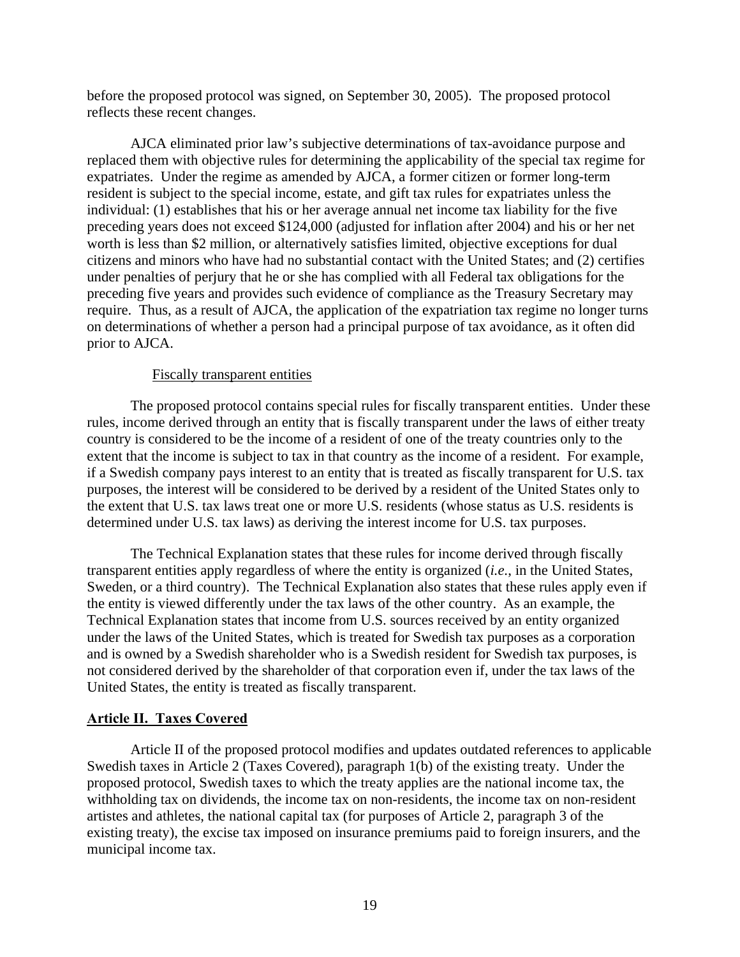before the proposed protocol was signed, on September 30, 2005). The proposed protocol reflects these recent changes.

AJCA eliminated prior law's subjective determinations of tax-avoidance purpose and replaced them with objective rules for determining the applicability of the special tax regime for expatriates. Under the regime as amended by AJCA, a former citizen or former long-term resident is subject to the special income, estate, and gift tax rules for expatriates unless the individual: (1) establishes that his or her average annual net income tax liability for the five preceding years does not exceed \$124,000 (adjusted for inflation after 2004) and his or her net worth is less than \$2 million, or alternatively satisfies limited, objective exceptions for dual citizens and minors who have had no substantial contact with the United States; and (2) certifies under penalties of perjury that he or she has complied with all Federal tax obligations for the preceding five years and provides such evidence of compliance as the Treasury Secretary may require. Thus, as a result of AJCA, the application of the expatriation tax regime no longer turns on determinations of whether a person had a principal purpose of tax avoidance, as it often did prior to AJCA.

### Fiscally transparent entities

The proposed protocol contains special rules for fiscally transparent entities. Under these rules, income derived through an entity that is fiscally transparent under the laws of either treaty country is considered to be the income of a resident of one of the treaty countries only to the extent that the income is subject to tax in that country as the income of a resident. For example, if a Swedish company pays interest to an entity that is treated as fiscally transparent for U.S. tax purposes, the interest will be considered to be derived by a resident of the United States only to the extent that U.S. tax laws treat one or more U.S. residents (whose status as U.S. residents is determined under U.S. tax laws) as deriving the interest income for U.S. tax purposes.

The Technical Explanation states that these rules for income derived through fiscally transparent entities apply regardless of where the entity is organized (*i.e.*, in the United States, Sweden, or a third country). The Technical Explanation also states that these rules apply even if the entity is viewed differently under the tax laws of the other country. As an example, the Technical Explanation states that income from U.S. sources received by an entity organized under the laws of the United States, which is treated for Swedish tax purposes as a corporation and is owned by a Swedish shareholder who is a Swedish resident for Swedish tax purposes, is not considered derived by the shareholder of that corporation even if, under the tax laws of the United States, the entity is treated as fiscally transparent.

### **Article II. Taxes Covered**

Article II of the proposed protocol modifies and updates outdated references to applicable Swedish taxes in Article 2 (Taxes Covered), paragraph 1(b) of the existing treaty. Under the proposed protocol, Swedish taxes to which the treaty applies are the national income tax, the withholding tax on dividends, the income tax on non-residents, the income tax on non-resident artistes and athletes, the national capital tax (for purposes of Article 2, paragraph 3 of the existing treaty), the excise tax imposed on insurance premiums paid to foreign insurers, and the municipal income tax.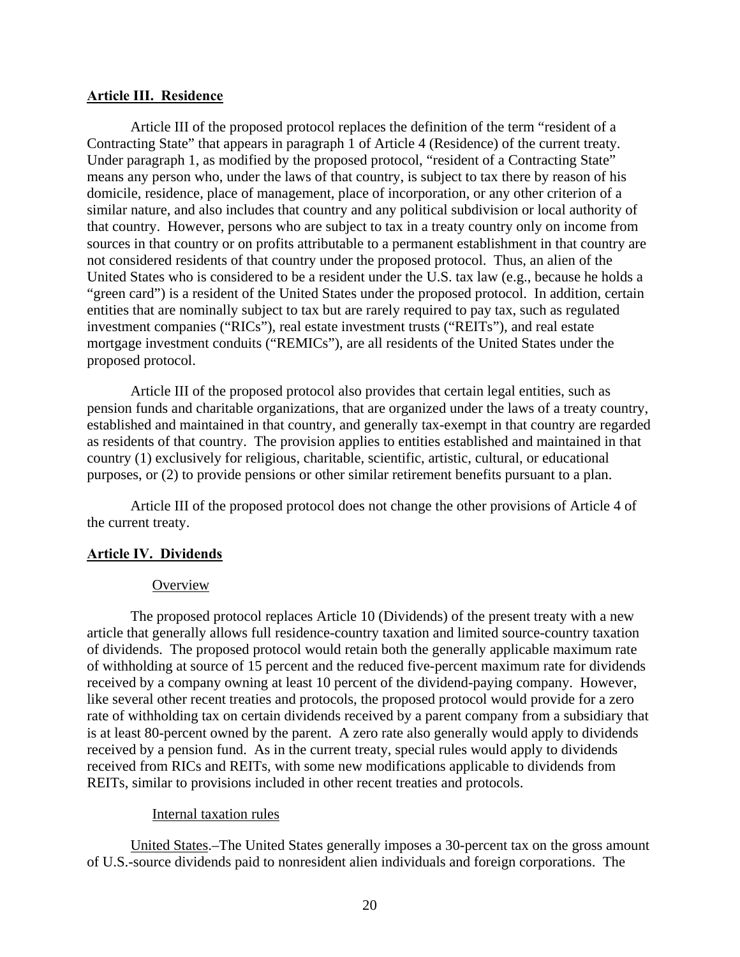### **Article III. Residence**

Article III of the proposed protocol replaces the definition of the term "resident of a Contracting State" that appears in paragraph 1 of Article 4 (Residence) of the current treaty. Under paragraph 1, as modified by the proposed protocol, "resident of a Contracting State" means any person who, under the laws of that country, is subject to tax there by reason of his domicile, residence, place of management, place of incorporation, or any other criterion of a similar nature, and also includes that country and any political subdivision or local authority of that country. However, persons who are subject to tax in a treaty country only on income from sources in that country or on profits attributable to a permanent establishment in that country are not considered residents of that country under the proposed protocol. Thus, an alien of the United States who is considered to be a resident under the U.S. tax law (e.g., because he holds a "green card") is a resident of the United States under the proposed protocol. In addition, certain entities that are nominally subject to tax but are rarely required to pay tax, such as regulated investment companies ("RICs"), real estate investment trusts ("REITs"), and real estate mortgage investment conduits ("REMICs"), are all residents of the United States under the proposed protocol.

Article III of the proposed protocol also provides that certain legal entities, such as pension funds and charitable organizations, that are organized under the laws of a treaty country, established and maintained in that country, and generally tax-exempt in that country are regarded as residents of that country. The provision applies to entities established and maintained in that country (1) exclusively for religious, charitable, scientific, artistic, cultural, or educational purposes, or (2) to provide pensions or other similar retirement benefits pursuant to a plan.

Article III of the proposed protocol does not change the other provisions of Article 4 of the current treaty.

# **Article IV. Dividends**

### **Overview**

The proposed protocol replaces Article 10 (Dividends) of the present treaty with a new article that generally allows full residence-country taxation and limited source-country taxation of dividends. The proposed protocol would retain both the generally applicable maximum rate of withholding at source of 15 percent and the reduced five-percent maximum rate for dividends received by a company owning at least 10 percent of the dividend-paying company. However, like several other recent treaties and protocols, the proposed protocol would provide for a zero rate of withholding tax on certain dividends received by a parent company from a subsidiary that is at least 80-percent owned by the parent. A zero rate also generally would apply to dividends received by a pension fund. As in the current treaty, special rules would apply to dividends received from RICs and REITs, with some new modifications applicable to dividends from REITs, similar to provisions included in other recent treaties and protocols.

# Internal taxation rules

United States.–The United States generally imposes a 30-percent tax on the gross amount of U.S.-source dividends paid to nonresident alien individuals and foreign corporations. The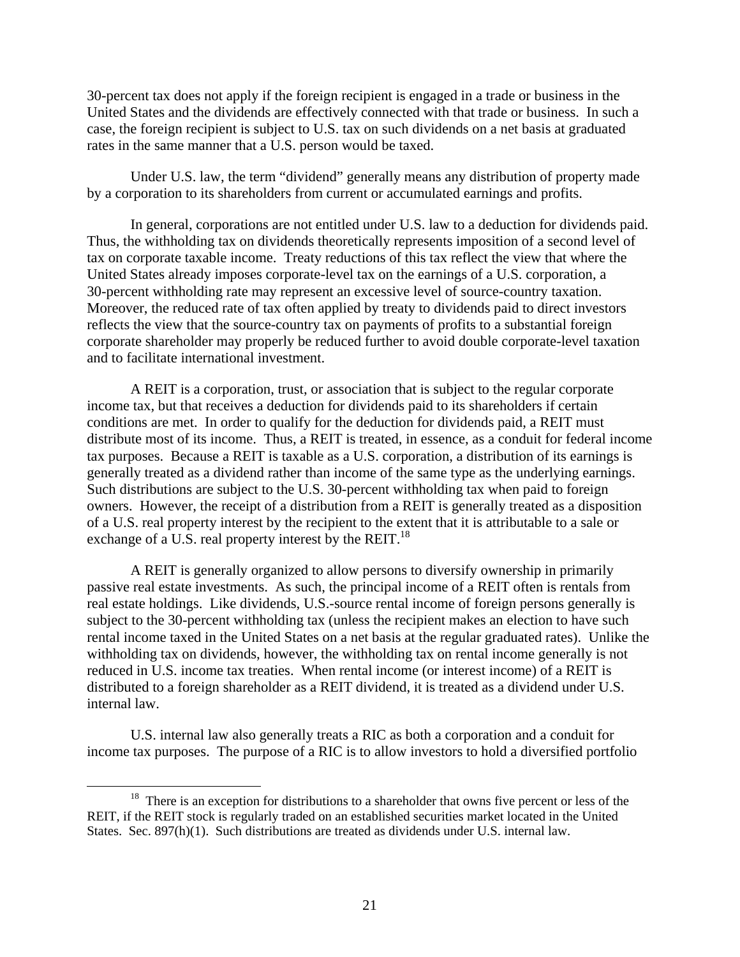30-percent tax does not apply if the foreign recipient is engaged in a trade or business in the United States and the dividends are effectively connected with that trade or business. In such a case, the foreign recipient is subject to U.S. tax on such dividends on a net basis at graduated rates in the same manner that a U.S. person would be taxed.

Under U.S. law, the term "dividend" generally means any distribution of property made by a corporation to its shareholders from current or accumulated earnings and profits.

In general, corporations are not entitled under U.S. law to a deduction for dividends paid. Thus, the withholding tax on dividends theoretically represents imposition of a second level of tax on corporate taxable income. Treaty reductions of this tax reflect the view that where the United States already imposes corporate-level tax on the earnings of a U.S. corporation, a 30-percent withholding rate may represent an excessive level of source-country taxation. Moreover, the reduced rate of tax often applied by treaty to dividends paid to direct investors reflects the view that the source-country tax on payments of profits to a substantial foreign corporate shareholder may properly be reduced further to avoid double corporate-level taxation and to facilitate international investment.

A REIT is a corporation, trust, or association that is subject to the regular corporate income tax, but that receives a deduction for dividends paid to its shareholders if certain conditions are met. In order to qualify for the deduction for dividends paid, a REIT must distribute most of its income. Thus, a REIT is treated, in essence, as a conduit for federal income tax purposes. Because a REIT is taxable as a U.S. corporation, a distribution of its earnings is generally treated as a dividend rather than income of the same type as the underlying earnings. Such distributions are subject to the U.S. 30-percent withholding tax when paid to foreign owners. However, the receipt of a distribution from a REIT is generally treated as a disposition of a U.S. real property interest by the recipient to the extent that it is attributable to a sale or exchange of a U.S. real property interest by the REIT.<sup>18</sup>

A REIT is generally organized to allow persons to diversify ownership in primarily passive real estate investments. As such, the principal income of a REIT often is rentals from real estate holdings. Like dividends, U.S.-source rental income of foreign persons generally is subject to the 30-percent withholding tax (unless the recipient makes an election to have such rental income taxed in the United States on a net basis at the regular graduated rates). Unlike the withholding tax on dividends, however, the withholding tax on rental income generally is not reduced in U.S. income tax treaties. When rental income (or interest income) of a REIT is distributed to a foreign shareholder as a REIT dividend, it is treated as a dividend under U.S. internal law.

U.S. internal law also generally treats a RIC as both a corporation and a conduit for income tax purposes. The purpose of a RIC is to allow investors to hold a diversified portfolio

<sup>&</sup>lt;sup>18</sup> There is an exception for distributions to a shareholder that owns five percent or less of the REIT, if the REIT stock is regularly traded on an established securities market located in the United States. Sec. 897(h)(1). Such distributions are treated as dividends under U.S. internal law.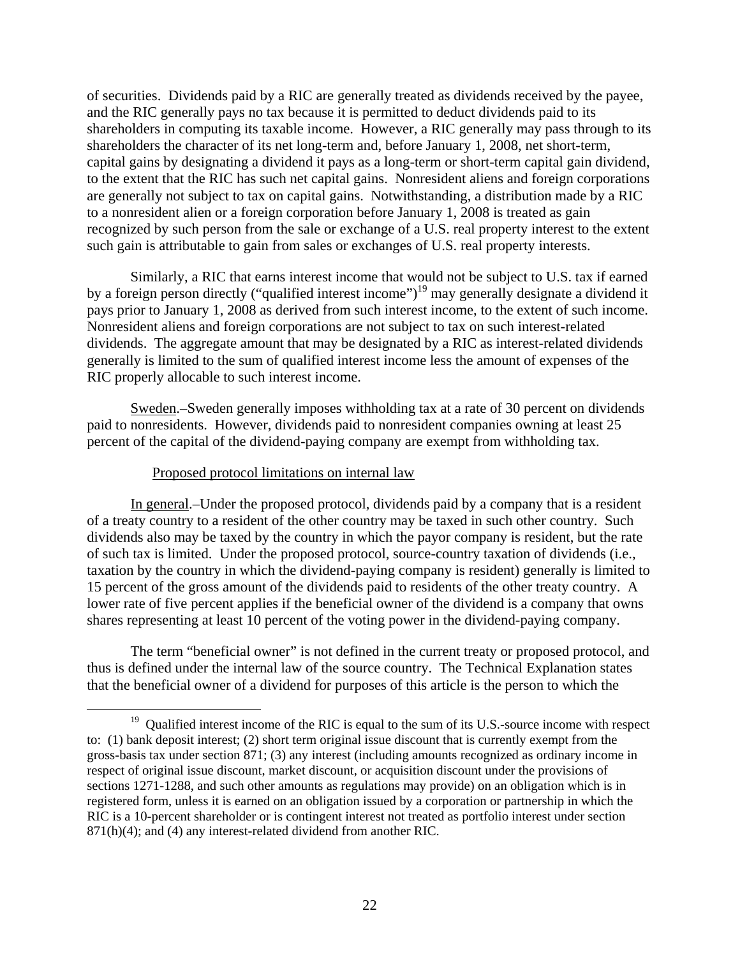of securities. Dividends paid by a RIC are generally treated as dividends received by the payee, and the RIC generally pays no tax because it is permitted to deduct dividends paid to its shareholders in computing its taxable income. However, a RIC generally may pass through to its shareholders the character of its net long-term and, before January 1, 2008, net short-term, capital gains by designating a dividend it pays as a long-term or short-term capital gain dividend, to the extent that the RIC has such net capital gains. Nonresident aliens and foreign corporations are generally not subject to tax on capital gains. Notwithstanding, a distribution made by a RIC to a nonresident alien or a foreign corporation before January 1, 2008 is treated as gain recognized by such person from the sale or exchange of a U.S. real property interest to the extent such gain is attributable to gain from sales or exchanges of U.S. real property interests.

Similarly, a RIC that earns interest income that would not be subject to U.S. tax if earned by a foreign person directly ("qualified interest income")<sup>19</sup> may generally designate a dividend it pays prior to January 1, 2008 as derived from such interest income, to the extent of such income. Nonresident aliens and foreign corporations are not subject to tax on such interest-related dividends. The aggregate amount that may be designated by a RIC as interest-related dividends generally is limited to the sum of qualified interest income less the amount of expenses of the RIC properly allocable to such interest income.

Sweden.–Sweden generally imposes withholding tax at a rate of 30 percent on dividends paid to nonresidents. However, dividends paid to nonresident companies owning at least 25 percent of the capital of the dividend-paying company are exempt from withholding tax.

### Proposed protocol limitations on internal law

In general.–Under the proposed protocol, dividends paid by a company that is a resident of a treaty country to a resident of the other country may be taxed in such other country. Such dividends also may be taxed by the country in which the payor company is resident, but the rate of such tax is limited. Under the proposed protocol, source-country taxation of dividends (i.e., taxation by the country in which the dividend-paying company is resident) generally is limited to 15 percent of the gross amount of the dividends paid to residents of the other treaty country. A lower rate of five percent applies if the beneficial owner of the dividend is a company that owns shares representing at least 10 percent of the voting power in the dividend-paying company.

The term "beneficial owner" is not defined in the current treaty or proposed protocol, and thus is defined under the internal law of the source country. The Technical Explanation states that the beneficial owner of a dividend for purposes of this article is the person to which the

<sup>&</sup>lt;sup>19</sup> Oualified interest income of the RIC is equal to the sum of its U.S.-source income with respect to: (1) bank deposit interest; (2) short term original issue discount that is currently exempt from the gross-basis tax under section 871; (3) any interest (including amounts recognized as ordinary income in respect of original issue discount, market discount, or acquisition discount under the provisions of sections 1271-1288, and such other amounts as regulations may provide) on an obligation which is in registered form, unless it is earned on an obligation issued by a corporation or partnership in which the RIC is a 10-percent shareholder or is contingent interest not treated as portfolio interest under section 871(h)(4); and (4) any interest-related dividend from another RIC.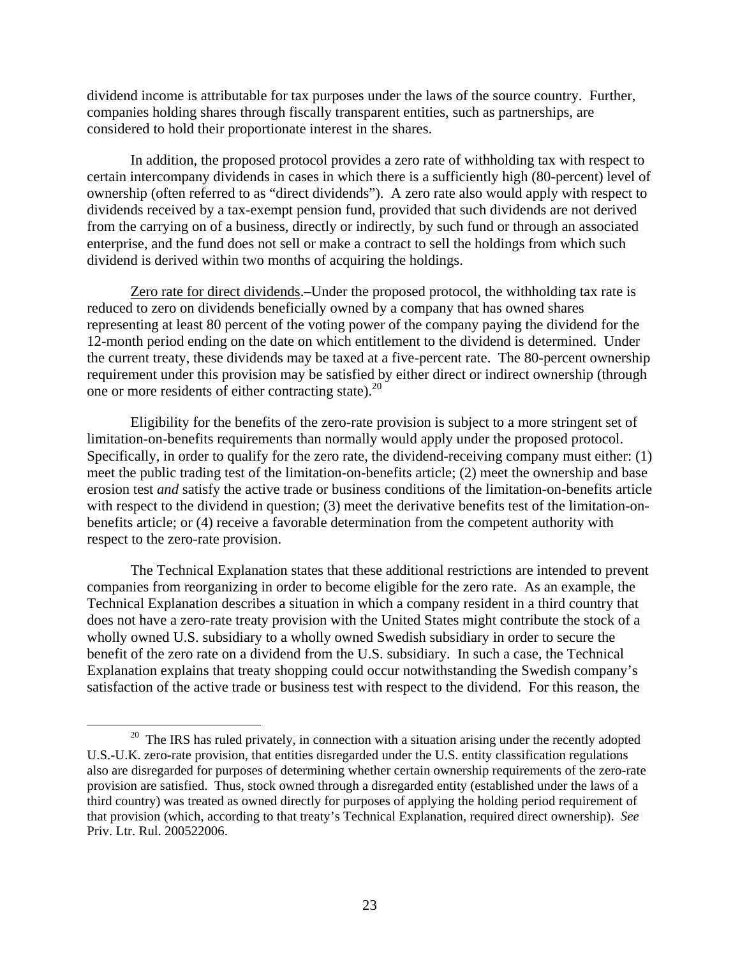dividend income is attributable for tax purposes under the laws of the source country. Further, companies holding shares through fiscally transparent entities, such as partnerships, are considered to hold their proportionate interest in the shares.

In addition, the proposed protocol provides a zero rate of withholding tax with respect to certain intercompany dividends in cases in which there is a sufficiently high (80-percent) level of ownership (often referred to as "direct dividends"). A zero rate also would apply with respect to dividends received by a tax-exempt pension fund, provided that such dividends are not derived from the carrying on of a business, directly or indirectly, by such fund or through an associated enterprise, and the fund does not sell or make a contract to sell the holdings from which such dividend is derived within two months of acquiring the holdings.

Zero rate for direct dividends.–Under the proposed protocol, the withholding tax rate is reduced to zero on dividends beneficially owned by a company that has owned shares representing at least 80 percent of the voting power of the company paying the dividend for the 12-month period ending on the date on which entitlement to the dividend is determined. Under the current treaty, these dividends may be taxed at a five-percent rate. The 80-percent ownership requirement under this provision may be satisfied by either direct or indirect ownership (through one or more residents of either contracting state).<sup>20</sup>

Eligibility for the benefits of the zero-rate provision is subject to a more stringent set of limitation-on-benefits requirements than normally would apply under the proposed protocol. Specifically, in order to qualify for the zero rate, the dividend-receiving company must either: (1) meet the public trading test of the limitation-on-benefits article; (2) meet the ownership and base erosion test *and* satisfy the active trade or business conditions of the limitation-on-benefits article with respect to the dividend in question; (3) meet the derivative benefits test of the limitation-onbenefits article; or (4) receive a favorable determination from the competent authority with respect to the zero-rate provision.

The Technical Explanation states that these additional restrictions are intended to prevent companies from reorganizing in order to become eligible for the zero rate. As an example, the Technical Explanation describes a situation in which a company resident in a third country that does not have a zero-rate treaty provision with the United States might contribute the stock of a wholly owned U.S. subsidiary to a wholly owned Swedish subsidiary in order to secure the benefit of the zero rate on a dividend from the U.S. subsidiary. In such a case, the Technical Explanation explains that treaty shopping could occur notwithstanding the Swedish company's satisfaction of the active trade or business test with respect to the dividend. For this reason, the

 $20$  The IRS has ruled privately, in connection with a situation arising under the recently adopted U.S.-U.K. zero-rate provision, that entities disregarded under the U.S. entity classification regulations also are disregarded for purposes of determining whether certain ownership requirements of the zero-rate provision are satisfied. Thus, stock owned through a disregarded entity (established under the laws of a third country) was treated as owned directly for purposes of applying the holding period requirement of that provision (which, according to that treaty's Technical Explanation, required direct ownership). *See* Priv. Ltr. Rul. 200522006.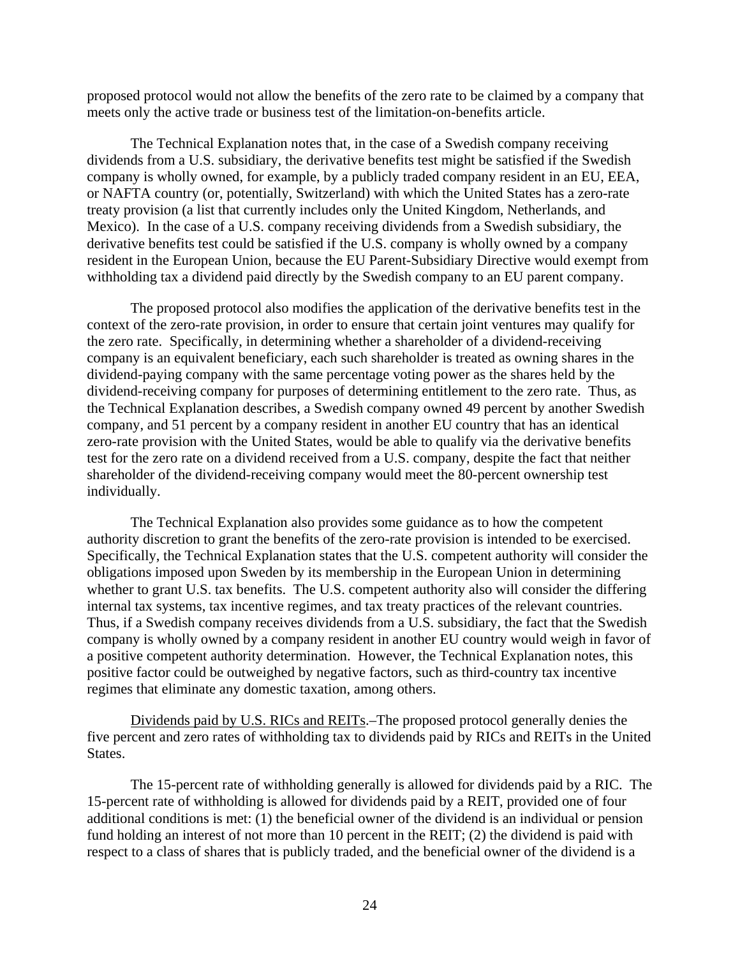proposed protocol would not allow the benefits of the zero rate to be claimed by a company that meets only the active trade or business test of the limitation-on-benefits article.

The Technical Explanation notes that, in the case of a Swedish company receiving dividends from a U.S. subsidiary, the derivative benefits test might be satisfied if the Swedish company is wholly owned, for example, by a publicly traded company resident in an EU, EEA, or NAFTA country (or, potentially, Switzerland) with which the United States has a zero-rate treaty provision (a list that currently includes only the United Kingdom, Netherlands, and Mexico). In the case of a U.S. company receiving dividends from a Swedish subsidiary, the derivative benefits test could be satisfied if the U.S. company is wholly owned by a company resident in the European Union, because the EU Parent-Subsidiary Directive would exempt from withholding tax a dividend paid directly by the Swedish company to an EU parent company.

The proposed protocol also modifies the application of the derivative benefits test in the context of the zero-rate provision, in order to ensure that certain joint ventures may qualify for the zero rate. Specifically, in determining whether a shareholder of a dividend-receiving company is an equivalent beneficiary, each such shareholder is treated as owning shares in the dividend-paying company with the same percentage voting power as the shares held by the dividend-receiving company for purposes of determining entitlement to the zero rate. Thus, as the Technical Explanation describes, a Swedish company owned 49 percent by another Swedish company, and 51 percent by a company resident in another EU country that has an identical zero-rate provision with the United States, would be able to qualify via the derivative benefits test for the zero rate on a dividend received from a U.S. company, despite the fact that neither shareholder of the dividend-receiving company would meet the 80-percent ownership test individually.

The Technical Explanation also provides some guidance as to how the competent authority discretion to grant the benefits of the zero-rate provision is intended to be exercised. Specifically, the Technical Explanation states that the U.S. competent authority will consider the obligations imposed upon Sweden by its membership in the European Union in determining whether to grant U.S. tax benefits. The U.S. competent authority also will consider the differing internal tax systems, tax incentive regimes, and tax treaty practices of the relevant countries. Thus, if a Swedish company receives dividends from a U.S. subsidiary, the fact that the Swedish company is wholly owned by a company resident in another EU country would weigh in favor of a positive competent authority determination. However, the Technical Explanation notes, this positive factor could be outweighed by negative factors, such as third-country tax incentive regimes that eliminate any domestic taxation, among others.

Dividends paid by U.S. RICs and REITs.–The proposed protocol generally denies the five percent and zero rates of withholding tax to dividends paid by RICs and REITs in the United States.

The 15-percent rate of withholding generally is allowed for dividends paid by a RIC. The 15-percent rate of withholding is allowed for dividends paid by a REIT, provided one of four additional conditions is met: (1) the beneficial owner of the dividend is an individual or pension fund holding an interest of not more than 10 percent in the REIT; (2) the dividend is paid with respect to a class of shares that is publicly traded, and the beneficial owner of the dividend is a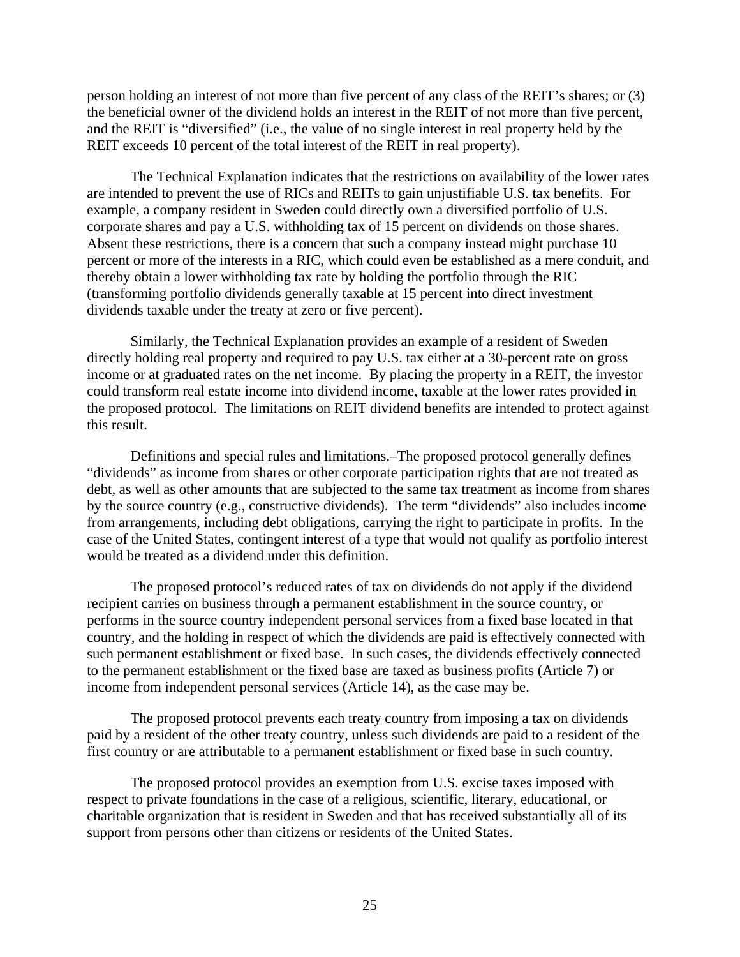person holding an interest of not more than five percent of any class of the REIT's shares; or (3) the beneficial owner of the dividend holds an interest in the REIT of not more than five percent, and the REIT is "diversified" (i.e., the value of no single interest in real property held by the REIT exceeds 10 percent of the total interest of the REIT in real property).

The Technical Explanation indicates that the restrictions on availability of the lower rates are intended to prevent the use of RICs and REITs to gain unjustifiable U.S. tax benefits. For example, a company resident in Sweden could directly own a diversified portfolio of U.S. corporate shares and pay a U.S. withholding tax of 15 percent on dividends on those shares. Absent these restrictions, there is a concern that such a company instead might purchase 10 percent or more of the interests in a RIC, which could even be established as a mere conduit, and thereby obtain a lower withholding tax rate by holding the portfolio through the RIC (transforming portfolio dividends generally taxable at 15 percent into direct investment dividends taxable under the treaty at zero or five percent).

Similarly, the Technical Explanation provides an example of a resident of Sweden directly holding real property and required to pay U.S. tax either at a 30-percent rate on gross income or at graduated rates on the net income. By placing the property in a REIT, the investor could transform real estate income into dividend income, taxable at the lower rates provided in the proposed protocol. The limitations on REIT dividend benefits are intended to protect against this result.

Definitions and special rules and limitations.–The proposed protocol generally defines "dividends" as income from shares or other corporate participation rights that are not treated as debt, as well as other amounts that are subjected to the same tax treatment as income from shares by the source country (e.g., constructive dividends). The term "dividends" also includes income from arrangements, including debt obligations, carrying the right to participate in profits. In the case of the United States, contingent interest of a type that would not qualify as portfolio interest would be treated as a dividend under this definition.

The proposed protocol's reduced rates of tax on dividends do not apply if the dividend recipient carries on business through a permanent establishment in the source country, or performs in the source country independent personal services from a fixed base located in that country, and the holding in respect of which the dividends are paid is effectively connected with such permanent establishment or fixed base. In such cases, the dividends effectively connected to the permanent establishment or the fixed base are taxed as business profits (Article 7) or income from independent personal services (Article 14), as the case may be.

The proposed protocol prevents each treaty country from imposing a tax on dividends paid by a resident of the other treaty country, unless such dividends are paid to a resident of the first country or are attributable to a permanent establishment or fixed base in such country.

The proposed protocol provides an exemption from U.S. excise taxes imposed with respect to private foundations in the case of a religious, scientific, literary, educational, or charitable organization that is resident in Sweden and that has received substantially all of its support from persons other than citizens or residents of the United States.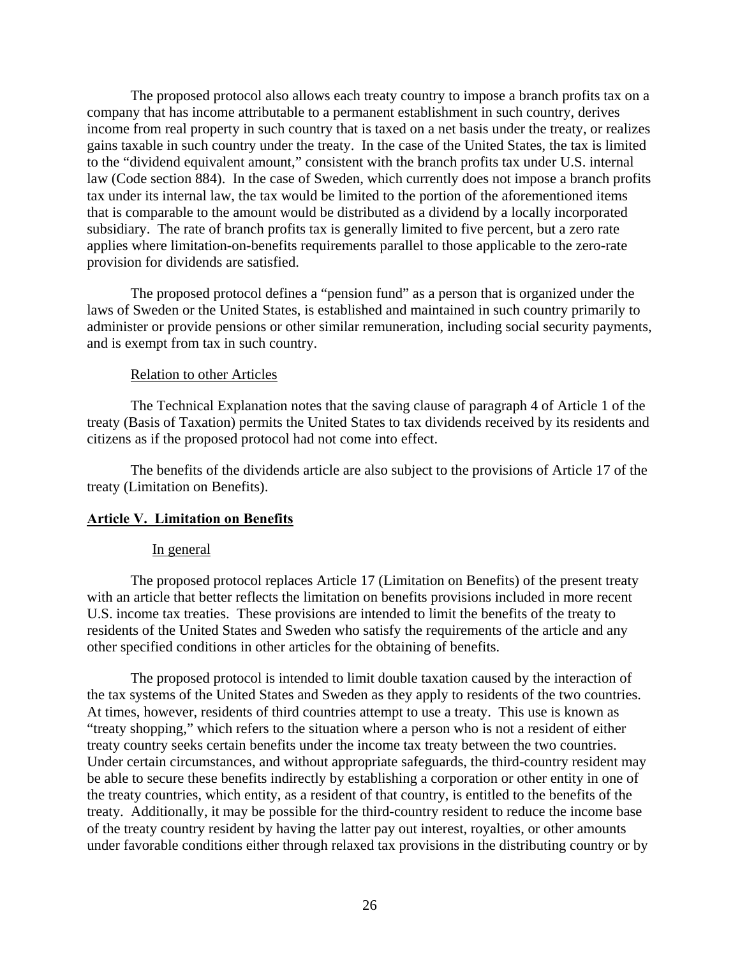The proposed protocol also allows each treaty country to impose a branch profits tax on a company that has income attributable to a permanent establishment in such country, derives income from real property in such country that is taxed on a net basis under the treaty, or realizes gains taxable in such country under the treaty. In the case of the United States, the tax is limited to the "dividend equivalent amount," consistent with the branch profits tax under U.S. internal law (Code section 884). In the case of Sweden, which currently does not impose a branch profits tax under its internal law, the tax would be limited to the portion of the aforementioned items that is comparable to the amount would be distributed as a dividend by a locally incorporated subsidiary. The rate of branch profits tax is generally limited to five percent, but a zero rate applies where limitation-on-benefits requirements parallel to those applicable to the zero-rate provision for dividends are satisfied.

The proposed protocol defines a "pension fund" as a person that is organized under the laws of Sweden or the United States, is established and maintained in such country primarily to administer or provide pensions or other similar remuneration, including social security payments, and is exempt from tax in such country.

### Relation to other Articles

The Technical Explanation notes that the saving clause of paragraph 4 of Article 1 of the treaty (Basis of Taxation) permits the United States to tax dividends received by its residents and citizens as if the proposed protocol had not come into effect.

The benefits of the dividends article are also subject to the provisions of Article 17 of the treaty (Limitation on Benefits).

# **Article V. Limitation on Benefits**

### In general

The proposed protocol replaces Article 17 (Limitation on Benefits) of the present treaty with an article that better reflects the limitation on benefits provisions included in more recent U.S. income tax treaties. These provisions are intended to limit the benefits of the treaty to residents of the United States and Sweden who satisfy the requirements of the article and any other specified conditions in other articles for the obtaining of benefits.

The proposed protocol is intended to limit double taxation caused by the interaction of the tax systems of the United States and Sweden as they apply to residents of the two countries. At times, however, residents of third countries attempt to use a treaty. This use is known as "treaty shopping," which refers to the situation where a person who is not a resident of either treaty country seeks certain benefits under the income tax treaty between the two countries. Under certain circumstances, and without appropriate safeguards, the third-country resident may be able to secure these benefits indirectly by establishing a corporation or other entity in one of the treaty countries, which entity, as a resident of that country, is entitled to the benefits of the treaty. Additionally, it may be possible for the third-country resident to reduce the income base of the treaty country resident by having the latter pay out interest, royalties, or other amounts under favorable conditions either through relaxed tax provisions in the distributing country or by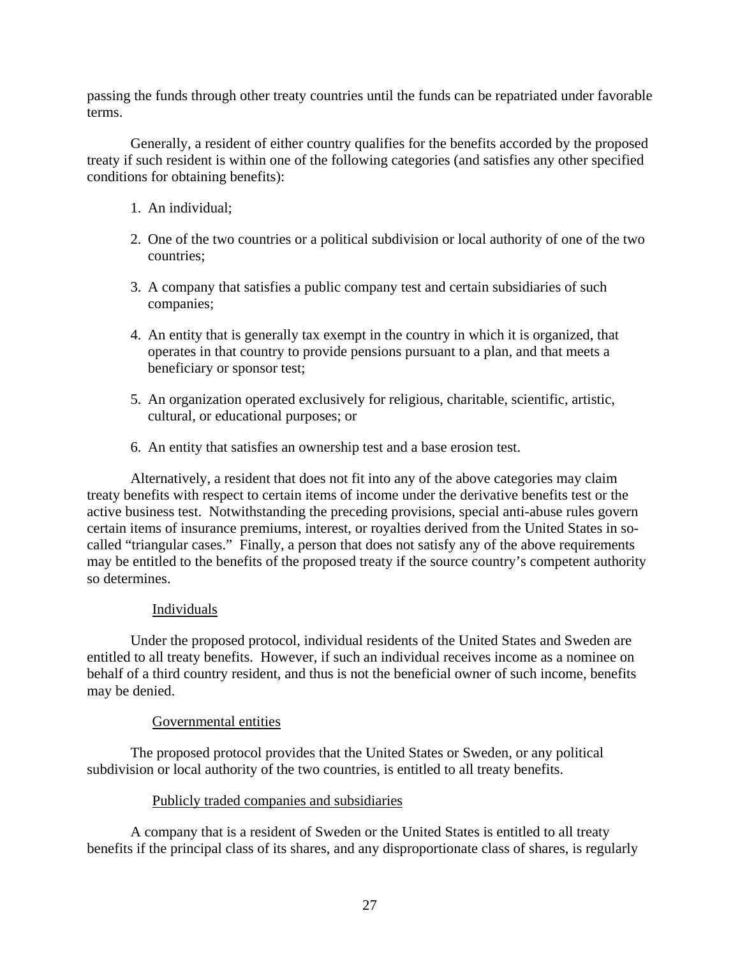passing the funds through other treaty countries until the funds can be repatriated under favorable terms.

Generally, a resident of either country qualifies for the benefits accorded by the proposed treaty if such resident is within one of the following categories (and satisfies any other specified conditions for obtaining benefits):

- 1. An individual;
- 2. One of the two countries or a political subdivision or local authority of one of the two countries;
- 3. A company that satisfies a public company test and certain subsidiaries of such companies;
- 4. An entity that is generally tax exempt in the country in which it is organized, that operates in that country to provide pensions pursuant to a plan, and that meets a beneficiary or sponsor test;
- 5. An organization operated exclusively for religious, charitable, scientific, artistic, cultural, or educational purposes; or
- 6. An entity that satisfies an ownership test and a base erosion test.

Alternatively, a resident that does not fit into any of the above categories may claim treaty benefits with respect to certain items of income under the derivative benefits test or the active business test. Notwithstanding the preceding provisions, special anti-abuse rules govern certain items of insurance premiums, interest, or royalties derived from the United States in socalled "triangular cases." Finally, a person that does not satisfy any of the above requirements may be entitled to the benefits of the proposed treaty if the source country's competent authority so determines.

# **Individuals**

Under the proposed protocol, individual residents of the United States and Sweden are entitled to all treaty benefits. However, if such an individual receives income as a nominee on behalf of a third country resident, and thus is not the beneficial owner of such income, benefits may be denied.

# Governmental entities

The proposed protocol provides that the United States or Sweden, or any political subdivision or local authority of the two countries, is entitled to all treaty benefits.

# Publicly traded companies and subsidiaries

A company that is a resident of Sweden or the United States is entitled to all treaty benefits if the principal class of its shares, and any disproportionate class of shares, is regularly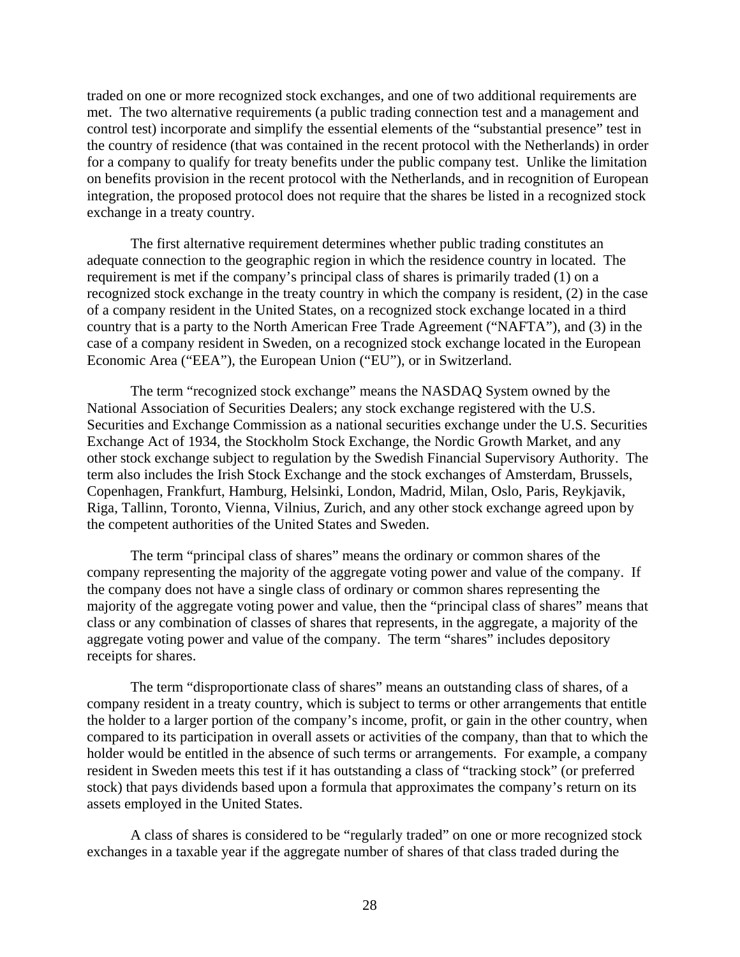traded on one or more recognized stock exchanges, and one of two additional requirements are met. The two alternative requirements (a public trading connection test and a management and control test) incorporate and simplify the essential elements of the "substantial presence" test in the country of residence (that was contained in the recent protocol with the Netherlands) in order for a company to qualify for treaty benefits under the public company test. Unlike the limitation on benefits provision in the recent protocol with the Netherlands, and in recognition of European integration, the proposed protocol does not require that the shares be listed in a recognized stock exchange in a treaty country.

The first alternative requirement determines whether public trading constitutes an adequate connection to the geographic region in which the residence country in located. The requirement is met if the company's principal class of shares is primarily traded (1) on a recognized stock exchange in the treaty country in which the company is resident, (2) in the case of a company resident in the United States, on a recognized stock exchange located in a third country that is a party to the North American Free Trade Agreement ("NAFTA"), and (3) in the case of a company resident in Sweden, on a recognized stock exchange located in the European Economic Area ("EEA"), the European Union ("EU"), or in Switzerland.

The term "recognized stock exchange" means the NASDAQ System owned by the National Association of Securities Dealers; any stock exchange registered with the U.S. Securities and Exchange Commission as a national securities exchange under the U.S. Securities Exchange Act of 1934, the Stockholm Stock Exchange, the Nordic Growth Market, and any other stock exchange subject to regulation by the Swedish Financial Supervisory Authority. The term also includes the Irish Stock Exchange and the stock exchanges of Amsterdam, Brussels, Copenhagen, Frankfurt, Hamburg, Helsinki, London, Madrid, Milan, Oslo, Paris, Reykjavik, Riga, Tallinn, Toronto, Vienna, Vilnius, Zurich, and any other stock exchange agreed upon by the competent authorities of the United States and Sweden.

The term "principal class of shares" means the ordinary or common shares of the company representing the majority of the aggregate voting power and value of the company. If the company does not have a single class of ordinary or common shares representing the majority of the aggregate voting power and value, then the "principal class of shares" means that class or any combination of classes of shares that represents, in the aggregate, a majority of the aggregate voting power and value of the company. The term "shares" includes depository receipts for shares.

The term "disproportionate class of shares" means an outstanding class of shares, of a company resident in a treaty country, which is subject to terms or other arrangements that entitle the holder to a larger portion of the company's income, profit, or gain in the other country, when compared to its participation in overall assets or activities of the company, than that to which the holder would be entitled in the absence of such terms or arrangements. For example, a company resident in Sweden meets this test if it has outstanding a class of "tracking stock" (or preferred stock) that pays dividends based upon a formula that approximates the company's return on its assets employed in the United States.

A class of shares is considered to be "regularly traded" on one or more recognized stock exchanges in a taxable year if the aggregate number of shares of that class traded during the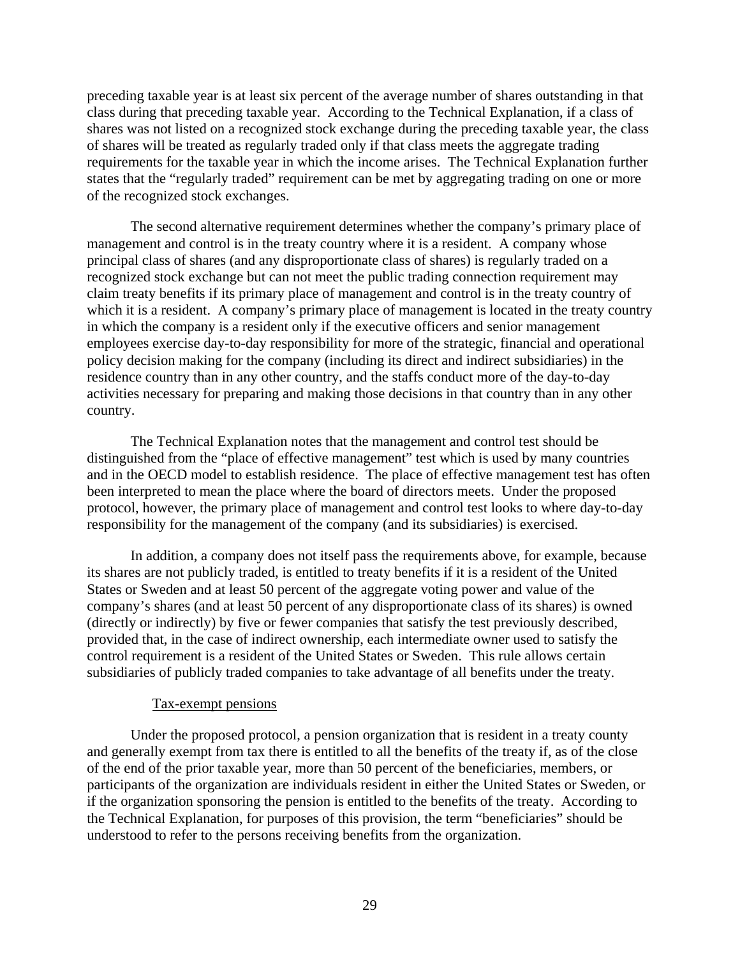preceding taxable year is at least six percent of the average number of shares outstanding in that class during that preceding taxable year. According to the Technical Explanation, if a class of shares was not listed on a recognized stock exchange during the preceding taxable year, the class of shares will be treated as regularly traded only if that class meets the aggregate trading requirements for the taxable year in which the income arises. The Technical Explanation further states that the "regularly traded" requirement can be met by aggregating trading on one or more of the recognized stock exchanges.

The second alternative requirement determines whether the company's primary place of management and control is in the treaty country where it is a resident. A company whose principal class of shares (and any disproportionate class of shares) is regularly traded on a recognized stock exchange but can not meet the public trading connection requirement may claim treaty benefits if its primary place of management and control is in the treaty country of which it is a resident. A company's primary place of management is located in the treaty country in which the company is a resident only if the executive officers and senior management employees exercise day-to-day responsibility for more of the strategic, financial and operational policy decision making for the company (including its direct and indirect subsidiaries) in the residence country than in any other country, and the staffs conduct more of the day-to-day activities necessary for preparing and making those decisions in that country than in any other country.

The Technical Explanation notes that the management and control test should be distinguished from the "place of effective management" test which is used by many countries and in the OECD model to establish residence. The place of effective management test has often been interpreted to mean the place where the board of directors meets. Under the proposed protocol, however, the primary place of management and control test looks to where day-to-day responsibility for the management of the company (and its subsidiaries) is exercised.

In addition, a company does not itself pass the requirements above, for example, because its shares are not publicly traded, is entitled to treaty benefits if it is a resident of the United States or Sweden and at least 50 percent of the aggregate voting power and value of the company's shares (and at least 50 percent of any disproportionate class of its shares) is owned (directly or indirectly) by five or fewer companies that satisfy the test previously described, provided that, in the case of indirect ownership, each intermediate owner used to satisfy the control requirement is a resident of the United States or Sweden. This rule allows certain subsidiaries of publicly traded companies to take advantage of all benefits under the treaty.

### Tax-exempt pensions

Under the proposed protocol, a pension organization that is resident in a treaty county and generally exempt from tax there is entitled to all the benefits of the treaty if, as of the close of the end of the prior taxable year, more than 50 percent of the beneficiaries, members, or participants of the organization are individuals resident in either the United States or Sweden, or if the organization sponsoring the pension is entitled to the benefits of the treaty. According to the Technical Explanation, for purposes of this provision, the term "beneficiaries" should be understood to refer to the persons receiving benefits from the organization.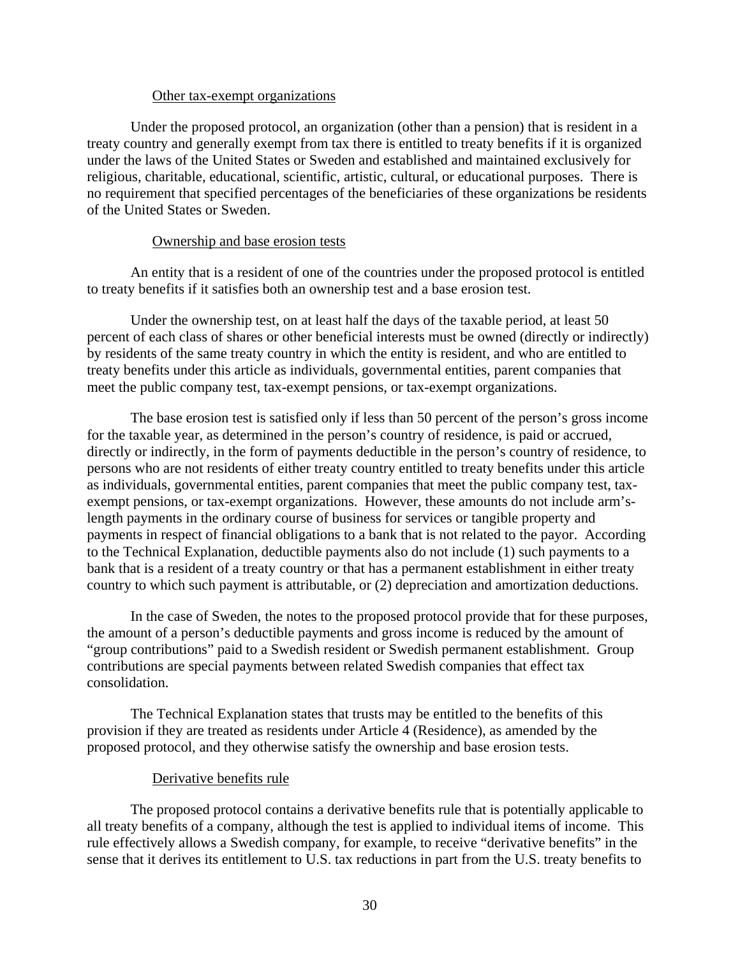#### Other tax-exempt organizations

Under the proposed protocol, an organization (other than a pension) that is resident in a treaty country and generally exempt from tax there is entitled to treaty benefits if it is organized under the laws of the United States or Sweden and established and maintained exclusively for religious, charitable, educational, scientific, artistic, cultural, or educational purposes. There is no requirement that specified percentages of the beneficiaries of these organizations be residents of the United States or Sweden.

### Ownership and base erosion tests

An entity that is a resident of one of the countries under the proposed protocol is entitled to treaty benefits if it satisfies both an ownership test and a base erosion test.

Under the ownership test, on at least half the days of the taxable period, at least 50 percent of each class of shares or other beneficial interests must be owned (directly or indirectly) by residents of the same treaty country in which the entity is resident, and who are entitled to treaty benefits under this article as individuals, governmental entities, parent companies that meet the public company test, tax-exempt pensions, or tax-exempt organizations.

The base erosion test is satisfied only if less than 50 percent of the person's gross income for the taxable year, as determined in the person's country of residence, is paid or accrued, directly or indirectly, in the form of payments deductible in the person's country of residence, to persons who are not residents of either treaty country entitled to treaty benefits under this article as individuals, governmental entities, parent companies that meet the public company test, taxexempt pensions, or tax-exempt organizations. However, these amounts do not include arm'slength payments in the ordinary course of business for services or tangible property and payments in respect of financial obligations to a bank that is not related to the payor. According to the Technical Explanation, deductible payments also do not include (1) such payments to a bank that is a resident of a treaty country or that has a permanent establishment in either treaty country to which such payment is attributable, or (2) depreciation and amortization deductions.

In the case of Sweden, the notes to the proposed protocol provide that for these purposes, the amount of a person's deductible payments and gross income is reduced by the amount of "group contributions" paid to a Swedish resident or Swedish permanent establishment. Group contributions are special payments between related Swedish companies that effect tax consolidation.

The Technical Explanation states that trusts may be entitled to the benefits of this provision if they are treated as residents under Article 4 (Residence), as amended by the proposed protocol, and they otherwise satisfy the ownership and base erosion tests.

### Derivative benefits rule

The proposed protocol contains a derivative benefits rule that is potentially applicable to all treaty benefits of a company, although the test is applied to individual items of income. This rule effectively allows a Swedish company, for example, to receive "derivative benefits" in the sense that it derives its entitlement to U.S. tax reductions in part from the U.S. treaty benefits to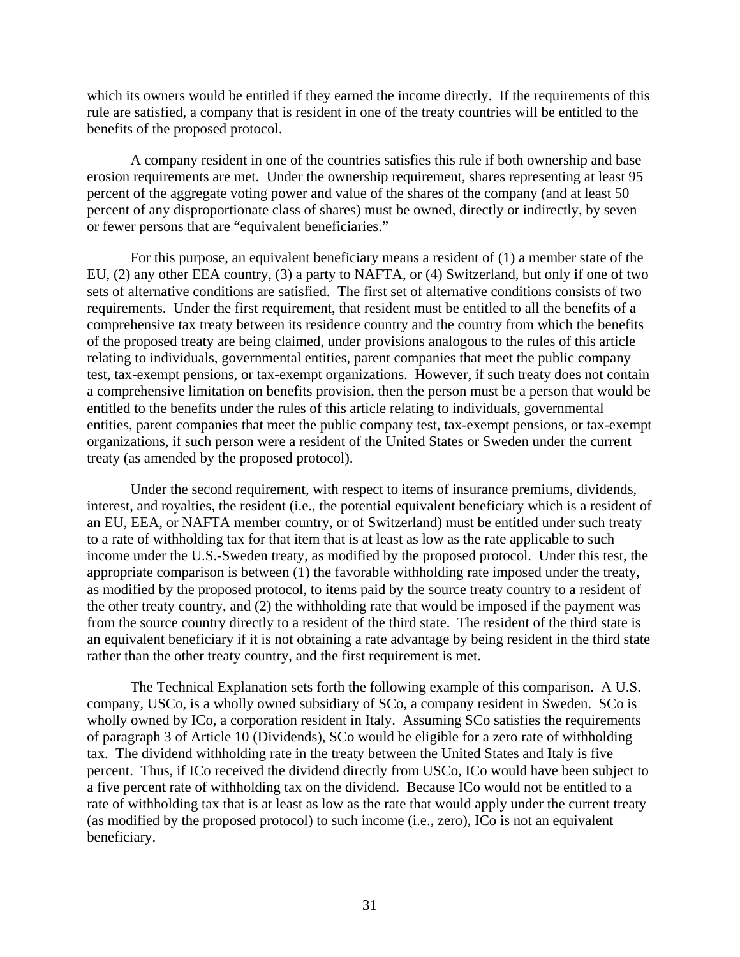which its owners would be entitled if they earned the income directly. If the requirements of this rule are satisfied, a company that is resident in one of the treaty countries will be entitled to the benefits of the proposed protocol.

A company resident in one of the countries satisfies this rule if both ownership and base erosion requirements are met. Under the ownership requirement, shares representing at least 95 percent of the aggregate voting power and value of the shares of the company (and at least 50 percent of any disproportionate class of shares) must be owned, directly or indirectly, by seven or fewer persons that are "equivalent beneficiaries."

For this purpose, an equivalent beneficiary means a resident of (1) a member state of the EU, (2) any other EEA country, (3) a party to NAFTA, or (4) Switzerland, but only if one of two sets of alternative conditions are satisfied. The first set of alternative conditions consists of two requirements. Under the first requirement, that resident must be entitled to all the benefits of a comprehensive tax treaty between its residence country and the country from which the benefits of the proposed treaty are being claimed, under provisions analogous to the rules of this article relating to individuals, governmental entities, parent companies that meet the public company test, tax-exempt pensions, or tax-exempt organizations. However, if such treaty does not contain a comprehensive limitation on benefits provision, then the person must be a person that would be entitled to the benefits under the rules of this article relating to individuals, governmental entities, parent companies that meet the public company test, tax-exempt pensions, or tax-exempt organizations, if such person were a resident of the United States or Sweden under the current treaty (as amended by the proposed protocol).

Under the second requirement, with respect to items of insurance premiums, dividends, interest, and royalties, the resident (i.e., the potential equivalent beneficiary which is a resident of an EU, EEA, or NAFTA member country, or of Switzerland) must be entitled under such treaty to a rate of withholding tax for that item that is at least as low as the rate applicable to such income under the U.S.-Sweden treaty, as modified by the proposed protocol. Under this test, the appropriate comparison is between (1) the favorable withholding rate imposed under the treaty, as modified by the proposed protocol, to items paid by the source treaty country to a resident of the other treaty country, and (2) the withholding rate that would be imposed if the payment was from the source country directly to a resident of the third state. The resident of the third state is an equivalent beneficiary if it is not obtaining a rate advantage by being resident in the third state rather than the other treaty country, and the first requirement is met.

The Technical Explanation sets forth the following example of this comparison. A U.S. company, USCo, is a wholly owned subsidiary of SCo, a company resident in Sweden. SCo is wholly owned by ICo, a corporation resident in Italy. Assuming SCo satisfies the requirements of paragraph 3 of Article 10 (Dividends), SCo would be eligible for a zero rate of withholding tax. The dividend withholding rate in the treaty between the United States and Italy is five percent. Thus, if ICo received the dividend directly from USCo, ICo would have been subject to a five percent rate of withholding tax on the dividend. Because ICo would not be entitled to a rate of withholding tax that is at least as low as the rate that would apply under the current treaty (as modified by the proposed protocol) to such income (i.e., zero), ICo is not an equivalent beneficiary.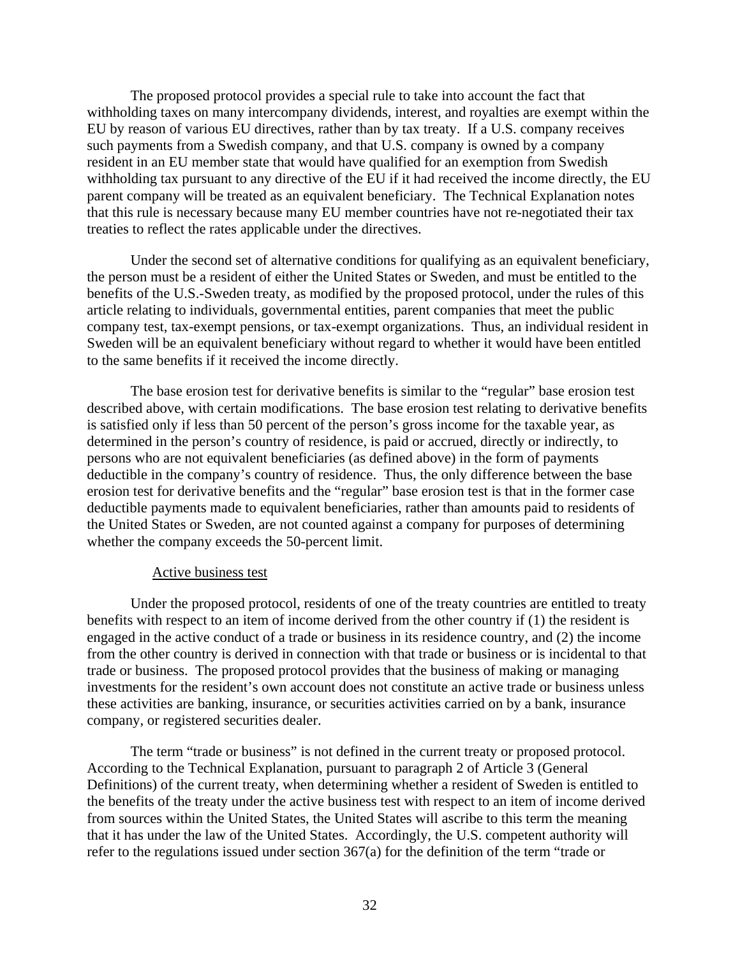The proposed protocol provides a special rule to take into account the fact that withholding taxes on many intercompany dividends, interest, and royalties are exempt within the EU by reason of various EU directives, rather than by tax treaty. If a U.S. company receives such payments from a Swedish company, and that U.S. company is owned by a company resident in an EU member state that would have qualified for an exemption from Swedish withholding tax pursuant to any directive of the EU if it had received the income directly, the EU parent company will be treated as an equivalent beneficiary. The Technical Explanation notes that this rule is necessary because many EU member countries have not re-negotiated their tax treaties to reflect the rates applicable under the directives.

Under the second set of alternative conditions for qualifying as an equivalent beneficiary, the person must be a resident of either the United States or Sweden, and must be entitled to the benefits of the U.S.-Sweden treaty, as modified by the proposed protocol, under the rules of this article relating to individuals, governmental entities, parent companies that meet the public company test, tax-exempt pensions, or tax-exempt organizations. Thus, an individual resident in Sweden will be an equivalent beneficiary without regard to whether it would have been entitled to the same benefits if it received the income directly.

The base erosion test for derivative benefits is similar to the "regular" base erosion test described above, with certain modifications. The base erosion test relating to derivative benefits is satisfied only if less than 50 percent of the person's gross income for the taxable year, as determined in the person's country of residence, is paid or accrued, directly or indirectly, to persons who are not equivalent beneficiaries (as defined above) in the form of payments deductible in the company's country of residence. Thus, the only difference between the base erosion test for derivative benefits and the "regular" base erosion test is that in the former case deductible payments made to equivalent beneficiaries, rather than amounts paid to residents of the United States or Sweden, are not counted against a company for purposes of determining whether the company exceeds the 50-percent limit.

#### Active business test

Under the proposed protocol, residents of one of the treaty countries are entitled to treaty benefits with respect to an item of income derived from the other country if (1) the resident is engaged in the active conduct of a trade or business in its residence country, and (2) the income from the other country is derived in connection with that trade or business or is incidental to that trade or business. The proposed protocol provides that the business of making or managing investments for the resident's own account does not constitute an active trade or business unless these activities are banking, insurance, or securities activities carried on by a bank, insurance company, or registered securities dealer.

The term "trade or business" is not defined in the current treaty or proposed protocol. According to the Technical Explanation, pursuant to paragraph 2 of Article 3 (General Definitions) of the current treaty, when determining whether a resident of Sweden is entitled to the benefits of the treaty under the active business test with respect to an item of income derived from sources within the United States, the United States will ascribe to this term the meaning that it has under the law of the United States. Accordingly, the U.S. competent authority will refer to the regulations issued under section 367(a) for the definition of the term "trade or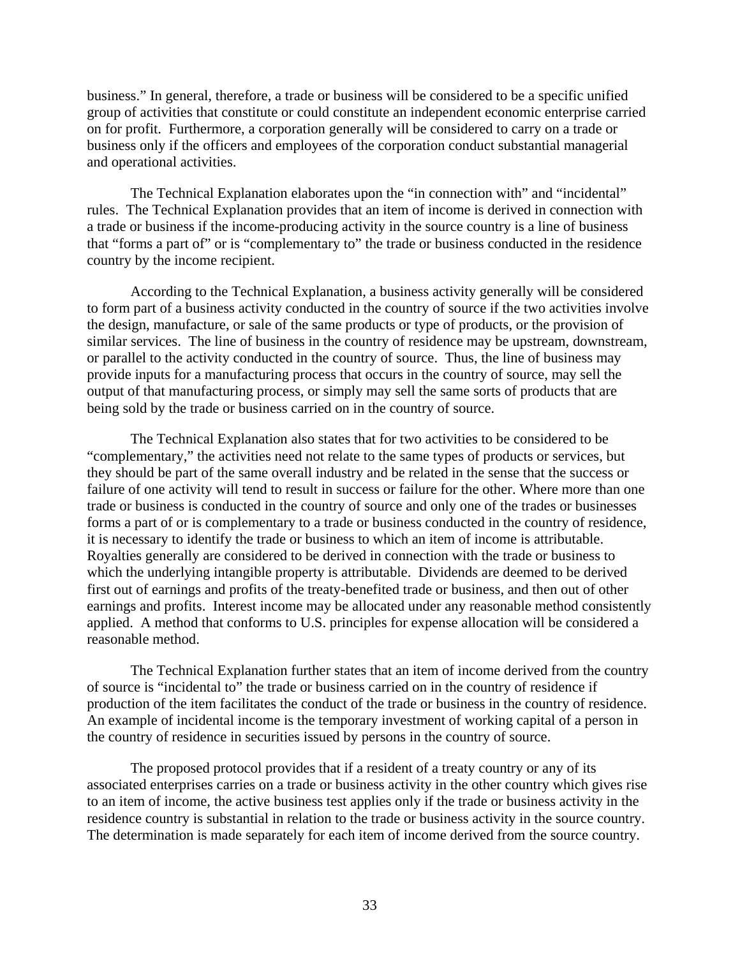business." In general, therefore, a trade or business will be considered to be a specific unified group of activities that constitute or could constitute an independent economic enterprise carried on for profit. Furthermore, a corporation generally will be considered to carry on a trade or business only if the officers and employees of the corporation conduct substantial managerial and operational activities.

The Technical Explanation elaborates upon the "in connection with" and "incidental" rules. The Technical Explanation provides that an item of income is derived in connection with a trade or business if the income-producing activity in the source country is a line of business that "forms a part of" or is "complementary to" the trade or business conducted in the residence country by the income recipient.

According to the Technical Explanation, a business activity generally will be considered to form part of a business activity conducted in the country of source if the two activities involve the design, manufacture, or sale of the same products or type of products, or the provision of similar services. The line of business in the country of residence may be upstream, downstream, or parallel to the activity conducted in the country of source. Thus, the line of business may provide inputs for a manufacturing process that occurs in the country of source, may sell the output of that manufacturing process, or simply may sell the same sorts of products that are being sold by the trade or business carried on in the country of source.

The Technical Explanation also states that for two activities to be considered to be "complementary," the activities need not relate to the same types of products or services, but they should be part of the same overall industry and be related in the sense that the success or failure of one activity will tend to result in success or failure for the other. Where more than one trade or business is conducted in the country of source and only one of the trades or businesses forms a part of or is complementary to a trade or business conducted in the country of residence, it is necessary to identify the trade or business to which an item of income is attributable. Royalties generally are considered to be derived in connection with the trade or business to which the underlying intangible property is attributable. Dividends are deemed to be derived first out of earnings and profits of the treaty-benefited trade or business, and then out of other earnings and profits. Interest income may be allocated under any reasonable method consistently applied. A method that conforms to U.S. principles for expense allocation will be considered a reasonable method.

The Technical Explanation further states that an item of income derived from the country of source is "incidental to" the trade or business carried on in the country of residence if production of the item facilitates the conduct of the trade or business in the country of residence. An example of incidental income is the temporary investment of working capital of a person in the country of residence in securities issued by persons in the country of source.

The proposed protocol provides that if a resident of a treaty country or any of its associated enterprises carries on a trade or business activity in the other country which gives rise to an item of income, the active business test applies only if the trade or business activity in the residence country is substantial in relation to the trade or business activity in the source country. The determination is made separately for each item of income derived from the source country.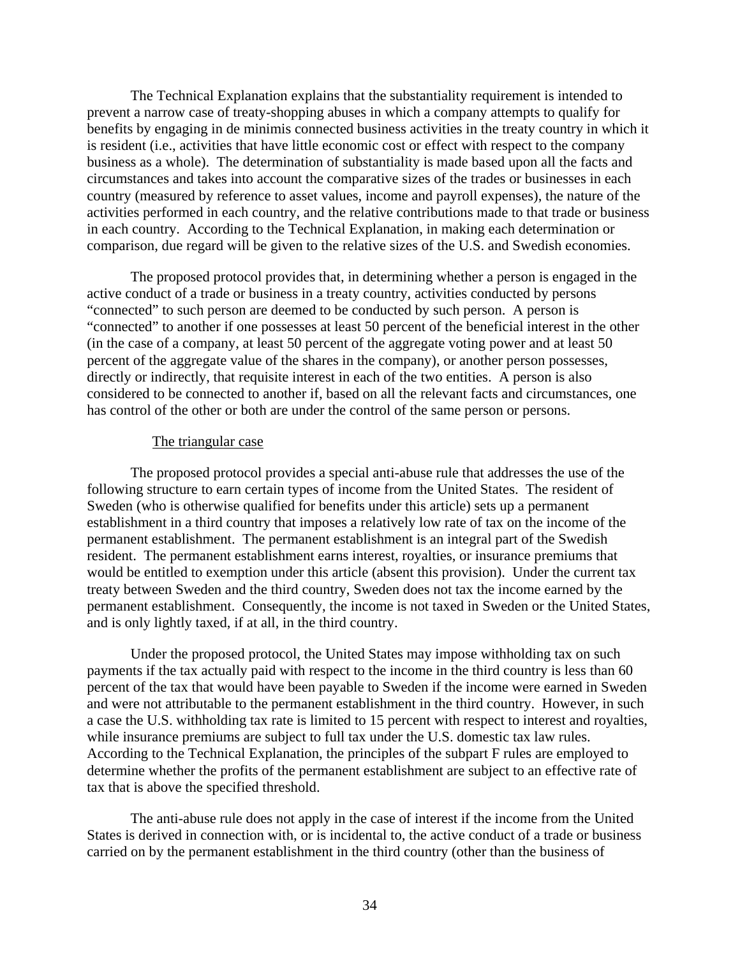The Technical Explanation explains that the substantiality requirement is intended to prevent a narrow case of treaty-shopping abuses in which a company attempts to qualify for benefits by engaging in de minimis connected business activities in the treaty country in which it is resident (i.e., activities that have little economic cost or effect with respect to the company business as a whole). The determination of substantiality is made based upon all the facts and circumstances and takes into account the comparative sizes of the trades or businesses in each country (measured by reference to asset values, income and payroll expenses), the nature of the activities performed in each country, and the relative contributions made to that trade or business in each country. According to the Technical Explanation, in making each determination or comparison, due regard will be given to the relative sizes of the U.S. and Swedish economies.

The proposed protocol provides that, in determining whether a person is engaged in the active conduct of a trade or business in a treaty country, activities conducted by persons "connected" to such person are deemed to be conducted by such person. A person is "connected" to another if one possesses at least 50 percent of the beneficial interest in the other (in the case of a company, at least 50 percent of the aggregate voting power and at least 50 percent of the aggregate value of the shares in the company), or another person possesses, directly or indirectly, that requisite interest in each of the two entities. A person is also considered to be connected to another if, based on all the relevant facts and circumstances, one has control of the other or both are under the control of the same person or persons.

#### The triangular case

The proposed protocol provides a special anti-abuse rule that addresses the use of the following structure to earn certain types of income from the United States. The resident of Sweden (who is otherwise qualified for benefits under this article) sets up a permanent establishment in a third country that imposes a relatively low rate of tax on the income of the permanent establishment. The permanent establishment is an integral part of the Swedish resident. The permanent establishment earns interest, royalties, or insurance premiums that would be entitled to exemption under this article (absent this provision). Under the current tax treaty between Sweden and the third country, Sweden does not tax the income earned by the permanent establishment. Consequently, the income is not taxed in Sweden or the United States, and is only lightly taxed, if at all, in the third country.

Under the proposed protocol, the United States may impose withholding tax on such payments if the tax actually paid with respect to the income in the third country is less than 60 percent of the tax that would have been payable to Sweden if the income were earned in Sweden and were not attributable to the permanent establishment in the third country. However, in such a case the U.S. withholding tax rate is limited to 15 percent with respect to interest and royalties, while insurance premiums are subject to full tax under the U.S. domestic tax law rules. According to the Technical Explanation, the principles of the subpart F rules are employed to determine whether the profits of the permanent establishment are subject to an effective rate of tax that is above the specified threshold.

The anti-abuse rule does not apply in the case of interest if the income from the United States is derived in connection with, or is incidental to, the active conduct of a trade or business carried on by the permanent establishment in the third country (other than the business of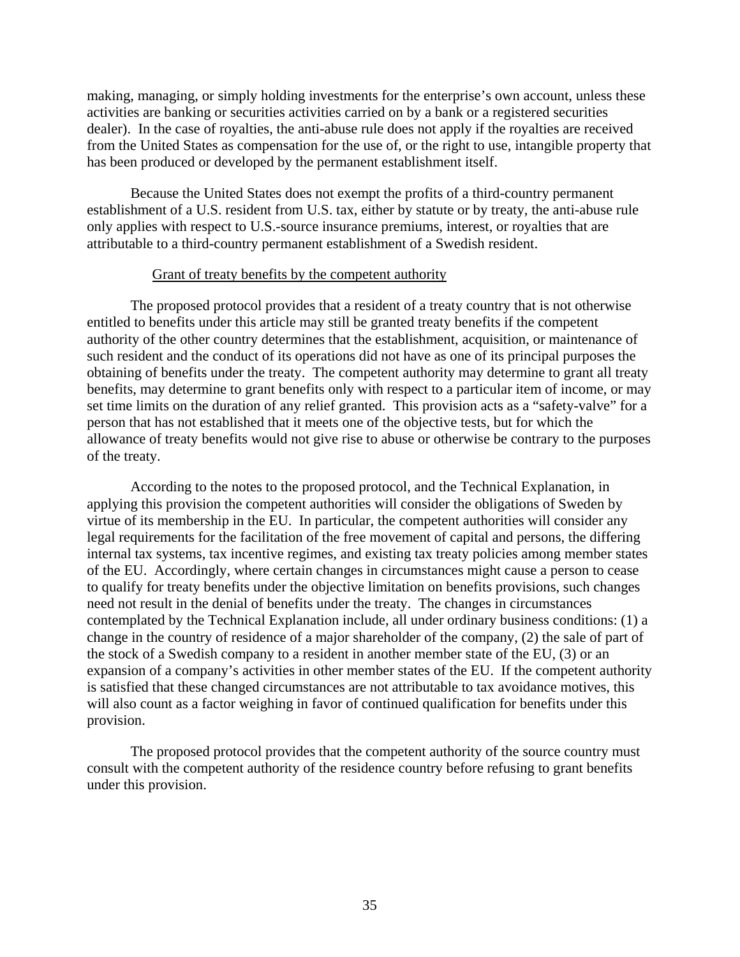making, managing, or simply holding investments for the enterprise's own account, unless these activities are banking or securities activities carried on by a bank or a registered securities dealer). In the case of royalties, the anti-abuse rule does not apply if the royalties are received from the United States as compensation for the use of, or the right to use, intangible property that has been produced or developed by the permanent establishment itself.

Because the United States does not exempt the profits of a third-country permanent establishment of a U.S. resident from U.S. tax, either by statute or by treaty, the anti-abuse rule only applies with respect to U.S.-source insurance premiums, interest, or royalties that are attributable to a third-country permanent establishment of a Swedish resident.

#### Grant of treaty benefits by the competent authority

The proposed protocol provides that a resident of a treaty country that is not otherwise entitled to benefits under this article may still be granted treaty benefits if the competent authority of the other country determines that the establishment, acquisition, or maintenance of such resident and the conduct of its operations did not have as one of its principal purposes the obtaining of benefits under the treaty. The competent authority may determine to grant all treaty benefits, may determine to grant benefits only with respect to a particular item of income, or may set time limits on the duration of any relief granted. This provision acts as a "safety-valve" for a person that has not established that it meets one of the objective tests, but for which the allowance of treaty benefits would not give rise to abuse or otherwise be contrary to the purposes of the treaty.

According to the notes to the proposed protocol, and the Technical Explanation, in applying this provision the competent authorities will consider the obligations of Sweden by virtue of its membership in the EU. In particular, the competent authorities will consider any legal requirements for the facilitation of the free movement of capital and persons, the differing internal tax systems, tax incentive regimes, and existing tax treaty policies among member states of the EU. Accordingly, where certain changes in circumstances might cause a person to cease to qualify for treaty benefits under the objective limitation on benefits provisions, such changes need not result in the denial of benefits under the treaty. The changes in circumstances contemplated by the Technical Explanation include, all under ordinary business conditions: (1) a change in the country of residence of a major shareholder of the company, (2) the sale of part of the stock of a Swedish company to a resident in another member state of the EU, (3) or an expansion of a company's activities in other member states of the EU. If the competent authority is satisfied that these changed circumstances are not attributable to tax avoidance motives, this will also count as a factor weighing in favor of continued qualification for benefits under this provision.

The proposed protocol provides that the competent authority of the source country must consult with the competent authority of the residence country before refusing to grant benefits under this provision.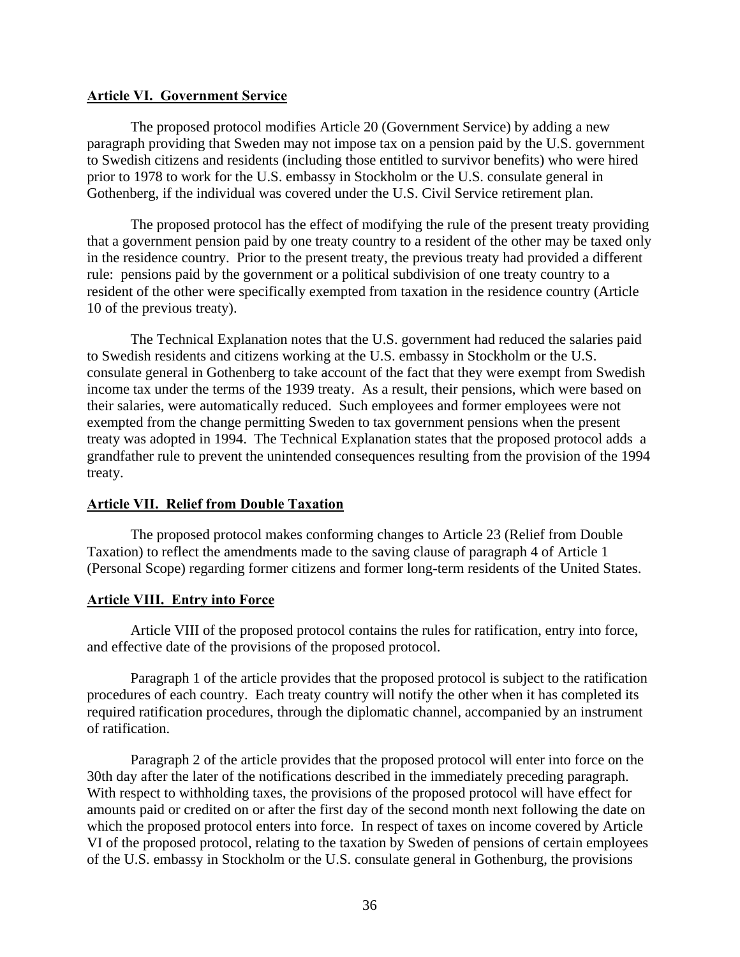### **Article VI. Government Service**

The proposed protocol modifies Article 20 (Government Service) by adding a new paragraph providing that Sweden may not impose tax on a pension paid by the U.S. government to Swedish citizens and residents (including those entitled to survivor benefits) who were hired prior to 1978 to work for the U.S. embassy in Stockholm or the U.S. consulate general in Gothenberg, if the individual was covered under the U.S. Civil Service retirement plan.

The proposed protocol has the effect of modifying the rule of the present treaty providing that a government pension paid by one treaty country to a resident of the other may be taxed only in the residence country. Prior to the present treaty, the previous treaty had provided a different rule: pensions paid by the government or a political subdivision of one treaty country to a resident of the other were specifically exempted from taxation in the residence country (Article 10 of the previous treaty).

The Technical Explanation notes that the U.S. government had reduced the salaries paid to Swedish residents and citizens working at the U.S. embassy in Stockholm or the U.S. consulate general in Gothenberg to take account of the fact that they were exempt from Swedish income tax under the terms of the 1939 treaty. As a result, their pensions, which were based on their salaries, were automatically reduced. Such employees and former employees were not exempted from the change permitting Sweden to tax government pensions when the present treaty was adopted in 1994. The Technical Explanation states that the proposed protocol adds a grandfather rule to prevent the unintended consequences resulting from the provision of the 1994 treaty.

# **Article VII. Relief from Double Taxation**

The proposed protocol makes conforming changes to Article 23 (Relief from Double Taxation) to reflect the amendments made to the saving clause of paragraph 4 of Article 1 (Personal Scope) regarding former citizens and former long-term residents of the United States.

# **Article VIII. Entry into Force**

Article VIII of the proposed protocol contains the rules for ratification, entry into force, and effective date of the provisions of the proposed protocol.

Paragraph 1 of the article provides that the proposed protocol is subject to the ratification procedures of each country. Each treaty country will notify the other when it has completed its required ratification procedures, through the diplomatic channel, accompanied by an instrument of ratification.

Paragraph 2 of the article provides that the proposed protocol will enter into force on the 30th day after the later of the notifications described in the immediately preceding paragraph. With respect to withholding taxes, the provisions of the proposed protocol will have effect for amounts paid or credited on or after the first day of the second month next following the date on which the proposed protocol enters into force. In respect of taxes on income covered by Article VI of the proposed protocol, relating to the taxation by Sweden of pensions of certain employees of the U.S. embassy in Stockholm or the U.S. consulate general in Gothenburg, the provisions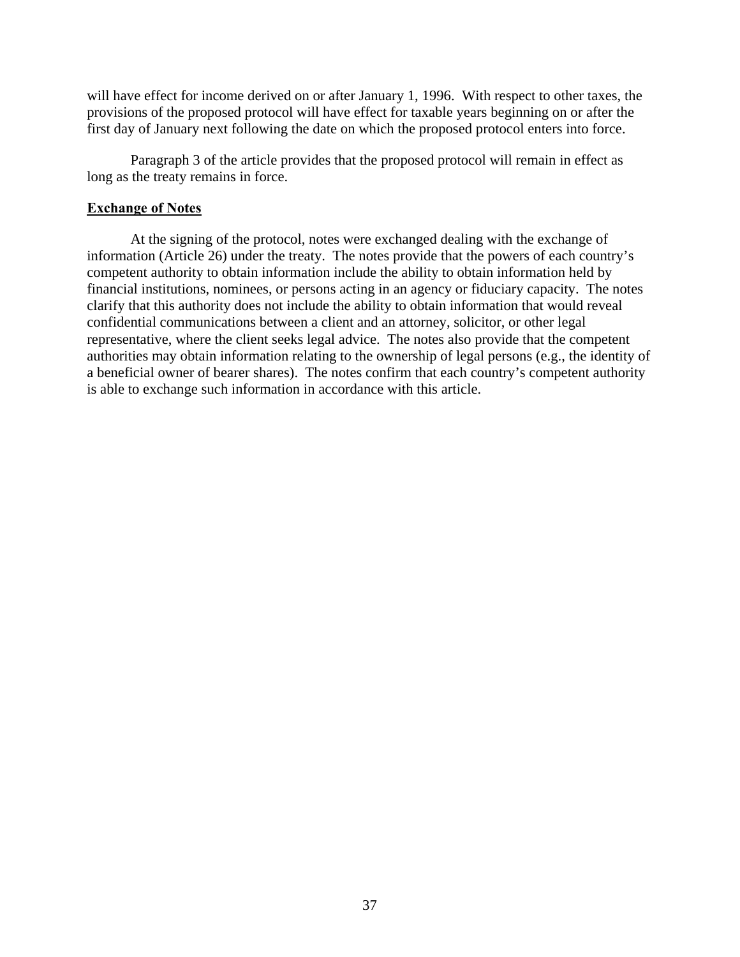will have effect for income derived on or after January 1, 1996. With respect to other taxes, the provisions of the proposed protocol will have effect for taxable years beginning on or after the first day of January next following the date on which the proposed protocol enters into force.

Paragraph 3 of the article provides that the proposed protocol will remain in effect as long as the treaty remains in force.

### **Exchange of Notes**

At the signing of the protocol, notes were exchanged dealing with the exchange of information (Article 26) under the treaty. The notes provide that the powers of each country's competent authority to obtain information include the ability to obtain information held by financial institutions, nominees, or persons acting in an agency or fiduciary capacity. The notes clarify that this authority does not include the ability to obtain information that would reveal confidential communications between a client and an attorney, solicitor, or other legal representative, where the client seeks legal advice. The notes also provide that the competent authorities may obtain information relating to the ownership of legal persons (e.g., the identity of a beneficial owner of bearer shares). The notes confirm that each country's competent authority is able to exchange such information in accordance with this article.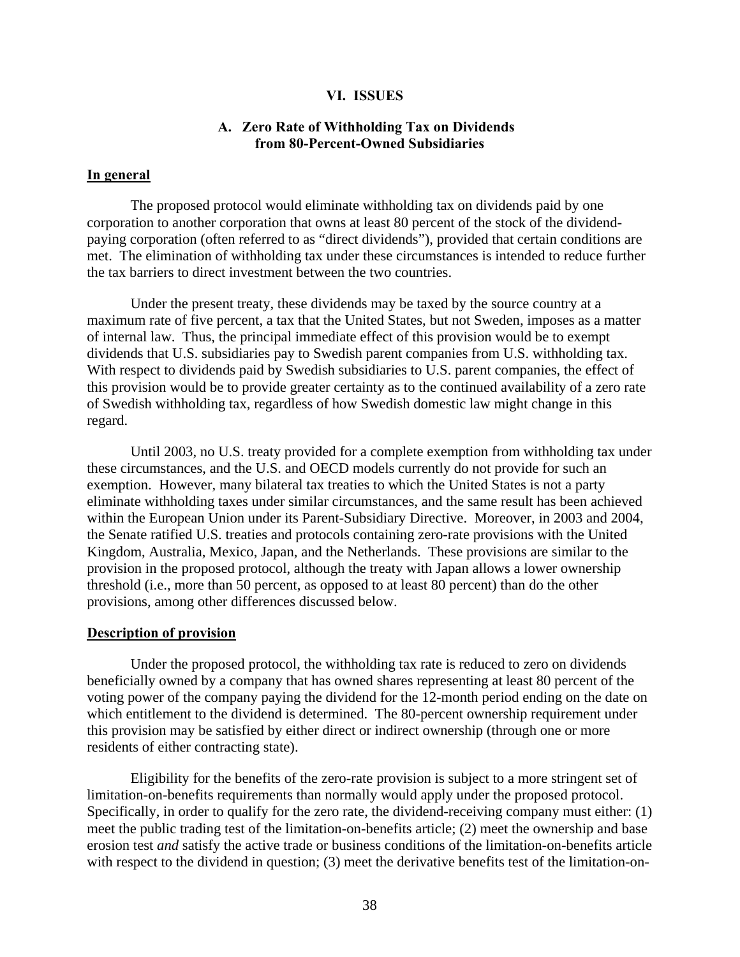### **VI. ISSUES**

### **A. Zero Rate of Withholding Tax on Dividends from 80-Percent-Owned Subsidiaries**

### **In general**

The proposed protocol would eliminate withholding tax on dividends paid by one corporation to another corporation that owns at least 80 percent of the stock of the dividendpaying corporation (often referred to as "direct dividends"), provided that certain conditions are met. The elimination of withholding tax under these circumstances is intended to reduce further the tax barriers to direct investment between the two countries.

Under the present treaty, these dividends may be taxed by the source country at a maximum rate of five percent, a tax that the United States, but not Sweden, imposes as a matter of internal law. Thus, the principal immediate effect of this provision would be to exempt dividends that U.S. subsidiaries pay to Swedish parent companies from U.S. withholding tax. With respect to dividends paid by Swedish subsidiaries to U.S. parent companies, the effect of this provision would be to provide greater certainty as to the continued availability of a zero rate of Swedish withholding tax, regardless of how Swedish domestic law might change in this regard.

Until 2003, no U.S. treaty provided for a complete exemption from withholding tax under these circumstances, and the U.S. and OECD models currently do not provide for such an exemption. However, many bilateral tax treaties to which the United States is not a party eliminate withholding taxes under similar circumstances, and the same result has been achieved within the European Union under its Parent-Subsidiary Directive. Moreover, in 2003 and 2004, the Senate ratified U.S. treaties and protocols containing zero-rate provisions with the United Kingdom, Australia, Mexico, Japan, and the Netherlands. These provisions are similar to the provision in the proposed protocol, although the treaty with Japan allows a lower ownership threshold (i.e., more than 50 percent, as opposed to at least 80 percent) than do the other provisions, among other differences discussed below.

#### **Description of provision**

Under the proposed protocol, the withholding tax rate is reduced to zero on dividends beneficially owned by a company that has owned shares representing at least 80 percent of the voting power of the company paying the dividend for the 12-month period ending on the date on which entitlement to the dividend is determined. The 80-percent ownership requirement under this provision may be satisfied by either direct or indirect ownership (through one or more residents of either contracting state).

Eligibility for the benefits of the zero-rate provision is subject to a more stringent set of limitation-on-benefits requirements than normally would apply under the proposed protocol. Specifically, in order to qualify for the zero rate, the dividend-receiving company must either: (1) meet the public trading test of the limitation-on-benefits article; (2) meet the ownership and base erosion test *and* satisfy the active trade or business conditions of the limitation-on-benefits article with respect to the dividend in question; (3) meet the derivative benefits test of the limitation-on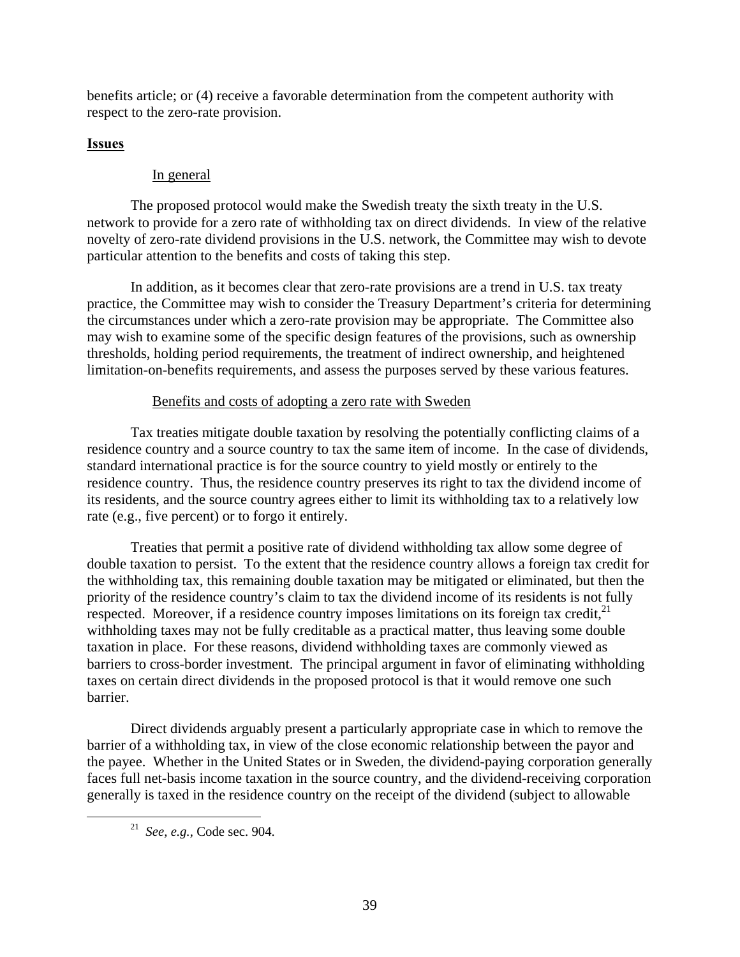benefits article; or (4) receive a favorable determination from the competent authority with respect to the zero-rate provision.

# **Issues**

# In general

The proposed protocol would make the Swedish treaty the sixth treaty in the U.S. network to provide for a zero rate of withholding tax on direct dividends. In view of the relative novelty of zero-rate dividend provisions in the U.S. network, the Committee may wish to devote particular attention to the benefits and costs of taking this step.

In addition, as it becomes clear that zero-rate provisions are a trend in U.S. tax treaty practice, the Committee may wish to consider the Treasury Department's criteria for determining the circumstances under which a zero-rate provision may be appropriate. The Committee also may wish to examine some of the specific design features of the provisions, such as ownership thresholds, holding period requirements, the treatment of indirect ownership, and heightened limitation-on-benefits requirements, and assess the purposes served by these various features.

# Benefits and costs of adopting a zero rate with Sweden

Tax treaties mitigate double taxation by resolving the potentially conflicting claims of a residence country and a source country to tax the same item of income. In the case of dividends, standard international practice is for the source country to yield mostly or entirely to the residence country. Thus, the residence country preserves its right to tax the dividend income of its residents, and the source country agrees either to limit its withholding tax to a relatively low rate (e.g., five percent) or to forgo it entirely.

Treaties that permit a positive rate of dividend withholding tax allow some degree of double taxation to persist. To the extent that the residence country allows a foreign tax credit for the withholding tax, this remaining double taxation may be mitigated or eliminated, but then the priority of the residence country's claim to tax the dividend income of its residents is not fully respected. Moreover, if a residence country imposes limitations on its foreign tax credit, $2<sup>1</sup>$ withholding taxes may not be fully creditable as a practical matter, thus leaving some double taxation in place. For these reasons, dividend withholding taxes are commonly viewed as barriers to cross-border investment. The principal argument in favor of eliminating withholding taxes on certain direct dividends in the proposed protocol is that it would remove one such barrier.

Direct dividends arguably present a particularly appropriate case in which to remove the barrier of a withholding tax, in view of the close economic relationship between the payor and the payee. Whether in the United States or in Sweden, the dividend-paying corporation generally faces full net-basis income taxation in the source country, and the dividend-receiving corporation generally is taxed in the residence country on the receipt of the dividend (subject to allowable

 <sup>21</sup> *See, e.g.,* Code sec. 904.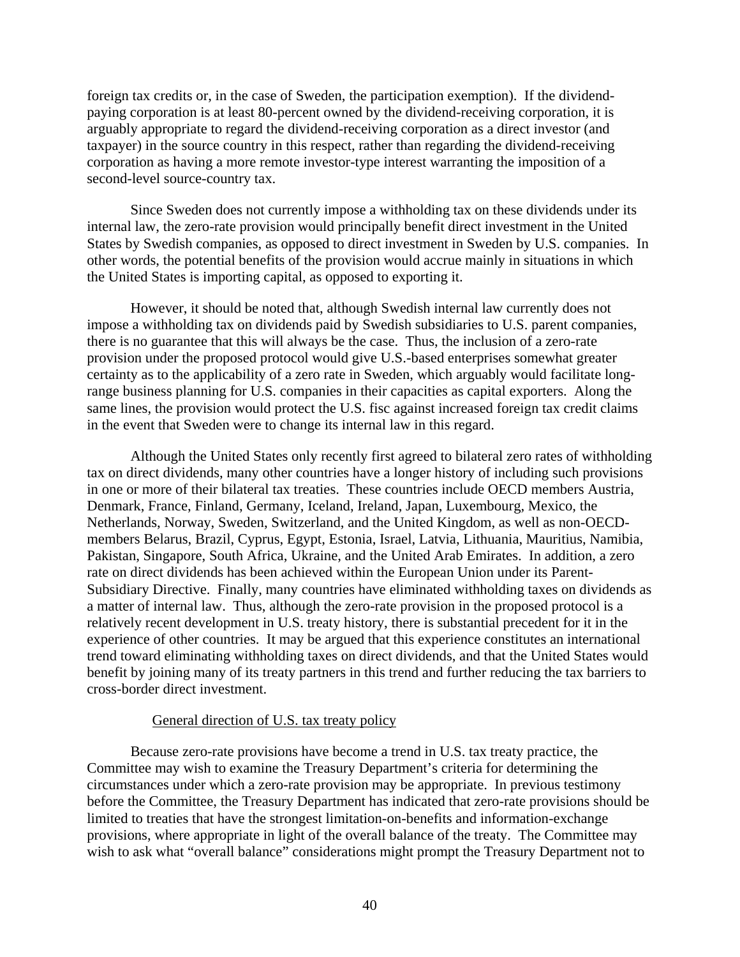foreign tax credits or, in the case of Sweden, the participation exemption). If the dividendpaying corporation is at least 80-percent owned by the dividend-receiving corporation, it is arguably appropriate to regard the dividend-receiving corporation as a direct investor (and taxpayer) in the source country in this respect, rather than regarding the dividend-receiving corporation as having a more remote investor-type interest warranting the imposition of a second-level source-country tax.

Since Sweden does not currently impose a withholding tax on these dividends under its internal law, the zero-rate provision would principally benefit direct investment in the United States by Swedish companies, as opposed to direct investment in Sweden by U.S. companies. In other words, the potential benefits of the provision would accrue mainly in situations in which the United States is importing capital, as opposed to exporting it.

However, it should be noted that, although Swedish internal law currently does not impose a withholding tax on dividends paid by Swedish subsidiaries to U.S. parent companies, there is no guarantee that this will always be the case. Thus, the inclusion of a zero-rate provision under the proposed protocol would give U.S.-based enterprises somewhat greater certainty as to the applicability of a zero rate in Sweden, which arguably would facilitate longrange business planning for U.S. companies in their capacities as capital exporters. Along the same lines, the provision would protect the U.S. fisc against increased foreign tax credit claims in the event that Sweden were to change its internal law in this regard.

Although the United States only recently first agreed to bilateral zero rates of withholding tax on direct dividends, many other countries have a longer history of including such provisions in one or more of their bilateral tax treaties. These countries include OECD members Austria, Denmark, France, Finland, Germany, Iceland, Ireland, Japan, Luxembourg, Mexico, the Netherlands, Norway, Sweden, Switzerland, and the United Kingdom, as well as non-OECDmembers Belarus, Brazil, Cyprus, Egypt, Estonia, Israel, Latvia, Lithuania, Mauritius, Namibia, Pakistan, Singapore, South Africa, Ukraine, and the United Arab Emirates. In addition, a zero rate on direct dividends has been achieved within the European Union under its Parent-Subsidiary Directive. Finally, many countries have eliminated withholding taxes on dividends as a matter of internal law. Thus, although the zero-rate provision in the proposed protocol is a relatively recent development in U.S. treaty history, there is substantial precedent for it in the experience of other countries. It may be argued that this experience constitutes an international trend toward eliminating withholding taxes on direct dividends, and that the United States would benefit by joining many of its treaty partners in this trend and further reducing the tax barriers to cross-border direct investment.

### General direction of U.S. tax treaty policy

Because zero-rate provisions have become a trend in U.S. tax treaty practice, the Committee may wish to examine the Treasury Department's criteria for determining the circumstances under which a zero-rate provision may be appropriate. In previous testimony before the Committee, the Treasury Department has indicated that zero-rate provisions should be limited to treaties that have the strongest limitation-on-benefits and information-exchange provisions, where appropriate in light of the overall balance of the treaty. The Committee may wish to ask what "overall balance" considerations might prompt the Treasury Department not to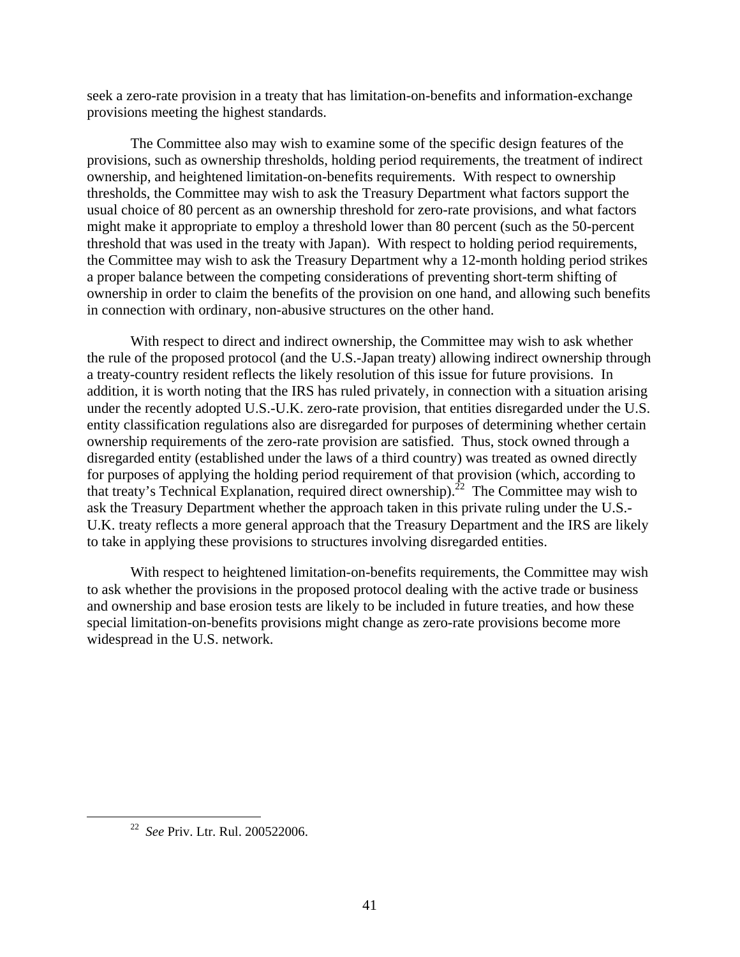seek a zero-rate provision in a treaty that has limitation-on-benefits and information-exchange provisions meeting the highest standards.

The Committee also may wish to examine some of the specific design features of the provisions, such as ownership thresholds, holding period requirements, the treatment of indirect ownership, and heightened limitation-on-benefits requirements. With respect to ownership thresholds, the Committee may wish to ask the Treasury Department what factors support the usual choice of 80 percent as an ownership threshold for zero-rate provisions, and what factors might make it appropriate to employ a threshold lower than 80 percent (such as the 50-percent threshold that was used in the treaty with Japan). With respect to holding period requirements, the Committee may wish to ask the Treasury Department why a 12-month holding period strikes a proper balance between the competing considerations of preventing short-term shifting of ownership in order to claim the benefits of the provision on one hand, and allowing such benefits in connection with ordinary, non-abusive structures on the other hand.

With respect to direct and indirect ownership, the Committee may wish to ask whether the rule of the proposed protocol (and the U.S.-Japan treaty) allowing indirect ownership through a treaty-country resident reflects the likely resolution of this issue for future provisions. In addition, it is worth noting that the IRS has ruled privately, in connection with a situation arising under the recently adopted U.S.-U.K. zero-rate provision, that entities disregarded under the U.S. entity classification regulations also are disregarded for purposes of determining whether certain ownership requirements of the zero-rate provision are satisfied. Thus, stock owned through a disregarded entity (established under the laws of a third country) was treated as owned directly for purposes of applying the holding period requirement of that provision (which, according to that treaty's Technical Explanation, required direct ownership).<sup>22</sup> The Committee may wish to ask the Treasury Department whether the approach taken in this private ruling under the U.S.- U.K. treaty reflects a more general approach that the Treasury Department and the IRS are likely to take in applying these provisions to structures involving disregarded entities.

With respect to heightened limitation-on-benefits requirements, the Committee may wish to ask whether the provisions in the proposed protocol dealing with the active trade or business and ownership and base erosion tests are likely to be included in future treaties, and how these special limitation-on-benefits provisions might change as zero-rate provisions become more widespread in the U.S. network.

 <sup>22</sup> *See* Priv. Ltr. Rul. 200522006.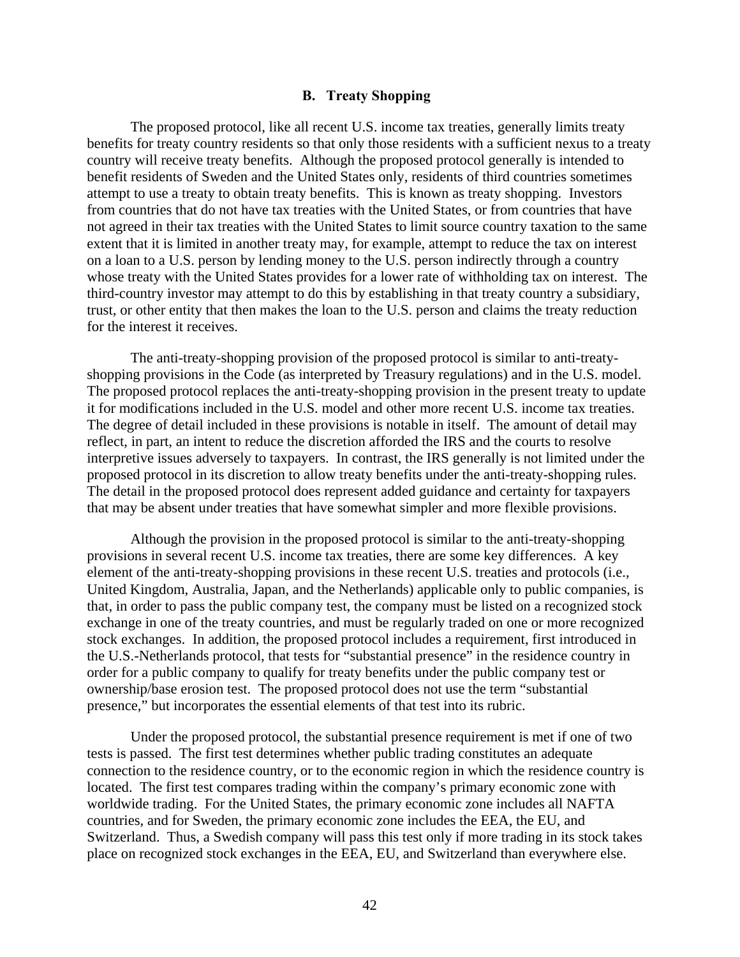### **B. Treaty Shopping**

The proposed protocol, like all recent U.S. income tax treaties, generally limits treaty benefits for treaty country residents so that only those residents with a sufficient nexus to a treaty country will receive treaty benefits. Although the proposed protocol generally is intended to benefit residents of Sweden and the United States only, residents of third countries sometimes attempt to use a treaty to obtain treaty benefits. This is known as treaty shopping. Investors from countries that do not have tax treaties with the United States, or from countries that have not agreed in their tax treaties with the United States to limit source country taxation to the same extent that it is limited in another treaty may, for example, attempt to reduce the tax on interest on a loan to a U.S. person by lending money to the U.S. person indirectly through a country whose treaty with the United States provides for a lower rate of withholding tax on interest. The third-country investor may attempt to do this by establishing in that treaty country a subsidiary, trust, or other entity that then makes the loan to the U.S. person and claims the treaty reduction for the interest it receives.

The anti-treaty-shopping provision of the proposed protocol is similar to anti-treatyshopping provisions in the Code (as interpreted by Treasury regulations) and in the U.S. model. The proposed protocol replaces the anti-treaty-shopping provision in the present treaty to update it for modifications included in the U.S. model and other more recent U.S. income tax treaties. The degree of detail included in these provisions is notable in itself. The amount of detail may reflect, in part, an intent to reduce the discretion afforded the IRS and the courts to resolve interpretive issues adversely to taxpayers. In contrast, the IRS generally is not limited under the proposed protocol in its discretion to allow treaty benefits under the anti-treaty-shopping rules. The detail in the proposed protocol does represent added guidance and certainty for taxpayers that may be absent under treaties that have somewhat simpler and more flexible provisions.

Although the provision in the proposed protocol is similar to the anti-treaty-shopping provisions in several recent U.S. income tax treaties, there are some key differences. A key element of the anti-treaty-shopping provisions in these recent U.S. treaties and protocols (i.e., United Kingdom, Australia, Japan, and the Netherlands) applicable only to public companies, is that, in order to pass the public company test, the company must be listed on a recognized stock exchange in one of the treaty countries, and must be regularly traded on one or more recognized stock exchanges. In addition, the proposed protocol includes a requirement, first introduced in the U.S.-Netherlands protocol, that tests for "substantial presence" in the residence country in order for a public company to qualify for treaty benefits under the public company test or ownership/base erosion test. The proposed protocol does not use the term "substantial presence," but incorporates the essential elements of that test into its rubric.

Under the proposed protocol, the substantial presence requirement is met if one of two tests is passed. The first test determines whether public trading constitutes an adequate connection to the residence country, or to the economic region in which the residence country is located. The first test compares trading within the company's primary economic zone with worldwide trading. For the United States, the primary economic zone includes all NAFTA countries, and for Sweden, the primary economic zone includes the EEA, the EU, and Switzerland. Thus, a Swedish company will pass this test only if more trading in its stock takes place on recognized stock exchanges in the EEA, EU, and Switzerland than everywhere else.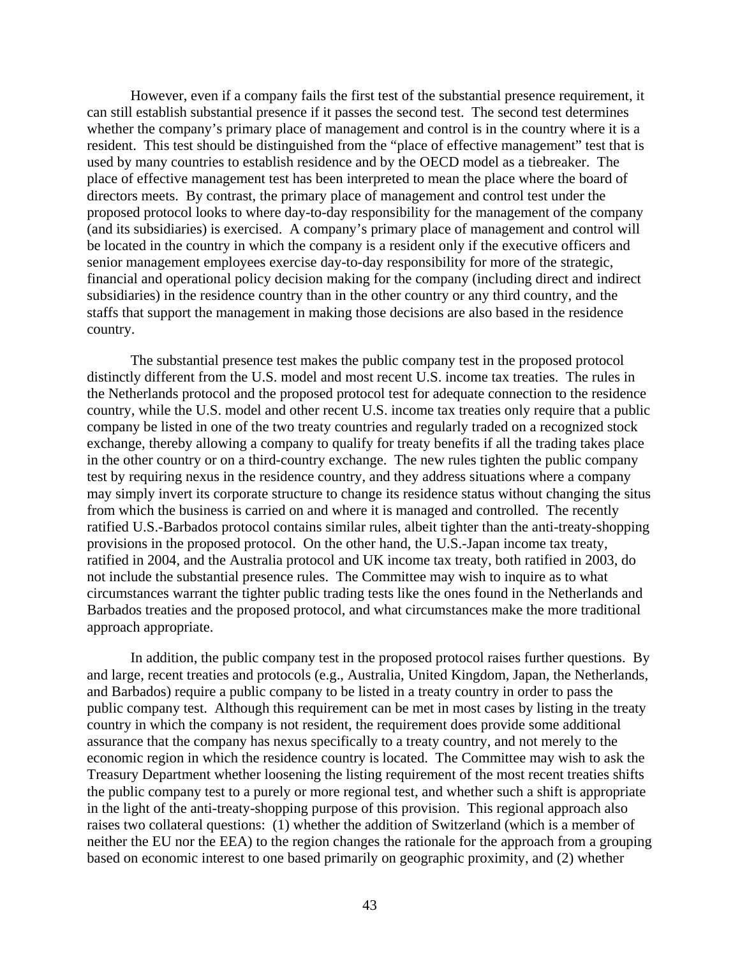However, even if a company fails the first test of the substantial presence requirement, it can still establish substantial presence if it passes the second test. The second test determines whether the company's primary place of management and control is in the country where it is a resident. This test should be distinguished from the "place of effective management" test that is used by many countries to establish residence and by the OECD model as a tiebreaker. The place of effective management test has been interpreted to mean the place where the board of directors meets. By contrast, the primary place of management and control test under the proposed protocol looks to where day-to-day responsibility for the management of the company (and its subsidiaries) is exercised. A company's primary place of management and control will be located in the country in which the company is a resident only if the executive officers and senior management employees exercise day-to-day responsibility for more of the strategic, financial and operational policy decision making for the company (including direct and indirect subsidiaries) in the residence country than in the other country or any third country, and the staffs that support the management in making those decisions are also based in the residence country.

The substantial presence test makes the public company test in the proposed protocol distinctly different from the U.S. model and most recent U.S. income tax treaties. The rules in the Netherlands protocol and the proposed protocol test for adequate connection to the residence country, while the U.S. model and other recent U.S. income tax treaties only require that a public company be listed in one of the two treaty countries and regularly traded on a recognized stock exchange, thereby allowing a company to qualify for treaty benefits if all the trading takes place in the other country or on a third-country exchange. The new rules tighten the public company test by requiring nexus in the residence country, and they address situations where a company may simply invert its corporate structure to change its residence status without changing the situs from which the business is carried on and where it is managed and controlled. The recently ratified U.S.-Barbados protocol contains similar rules, albeit tighter than the anti-treaty-shopping provisions in the proposed protocol. On the other hand, the U.S.-Japan income tax treaty, ratified in 2004, and the Australia protocol and UK income tax treaty, both ratified in 2003, do not include the substantial presence rules. The Committee may wish to inquire as to what circumstances warrant the tighter public trading tests like the ones found in the Netherlands and Barbados treaties and the proposed protocol, and what circumstances make the more traditional approach appropriate.

In addition, the public company test in the proposed protocol raises further questions. By and large, recent treaties and protocols (e.g., Australia, United Kingdom, Japan, the Netherlands, and Barbados) require a public company to be listed in a treaty country in order to pass the public company test. Although this requirement can be met in most cases by listing in the treaty country in which the company is not resident, the requirement does provide some additional assurance that the company has nexus specifically to a treaty country, and not merely to the economic region in which the residence country is located. The Committee may wish to ask the Treasury Department whether loosening the listing requirement of the most recent treaties shifts the public company test to a purely or more regional test, and whether such a shift is appropriate in the light of the anti-treaty-shopping purpose of this provision. This regional approach also raises two collateral questions: (1) whether the addition of Switzerland (which is a member of neither the EU nor the EEA) to the region changes the rationale for the approach from a grouping based on economic interest to one based primarily on geographic proximity, and (2) whether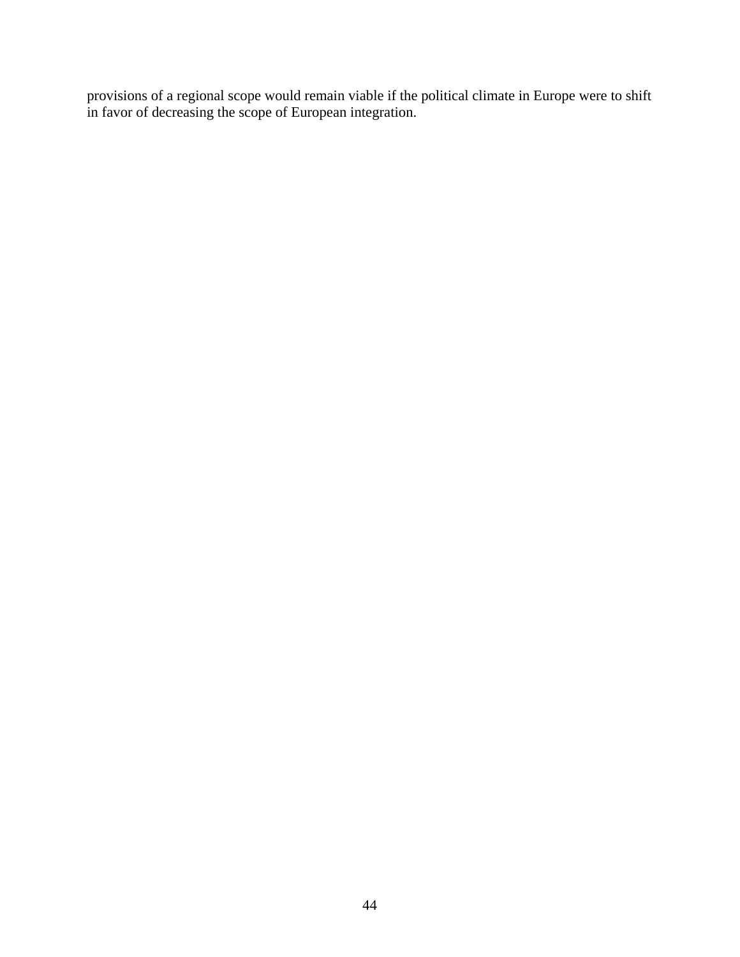provisions of a regional scope would remain viable if the political climate in Europe were to shift in favor of decreasing the scope of European integration.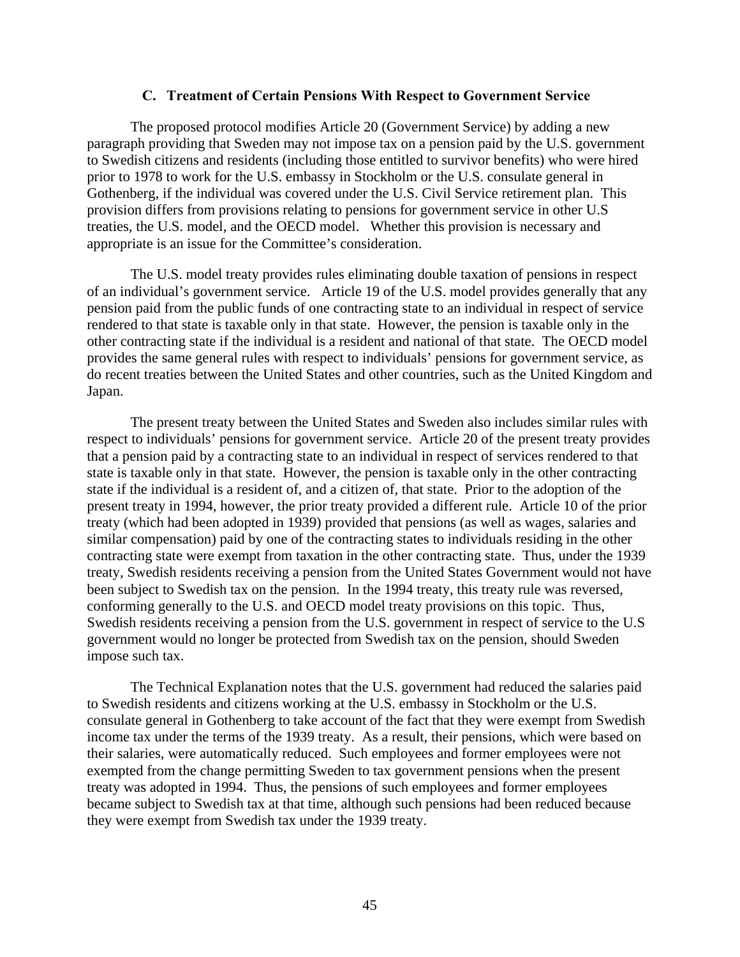#### **C. Treatment of Certain Pensions With Respect to Government Service**

The proposed protocol modifies Article 20 (Government Service) by adding a new paragraph providing that Sweden may not impose tax on a pension paid by the U.S. government to Swedish citizens and residents (including those entitled to survivor benefits) who were hired prior to 1978 to work for the U.S. embassy in Stockholm or the U.S. consulate general in Gothenberg, if the individual was covered under the U.S. Civil Service retirement plan. This provision differs from provisions relating to pensions for government service in other U.S treaties, the U.S. model, and the OECD model. Whether this provision is necessary and appropriate is an issue for the Committee's consideration.

The U.S. model treaty provides rules eliminating double taxation of pensions in respect of an individual's government service. Article 19 of the U.S. model provides generally that any pension paid from the public funds of one contracting state to an individual in respect of service rendered to that state is taxable only in that state. However, the pension is taxable only in the other contracting state if the individual is a resident and national of that state. The OECD model provides the same general rules with respect to individuals' pensions for government service, as do recent treaties between the United States and other countries, such as the United Kingdom and Japan.

The present treaty between the United States and Sweden also includes similar rules with respect to individuals' pensions for government service. Article 20 of the present treaty provides that a pension paid by a contracting state to an individual in respect of services rendered to that state is taxable only in that state. However, the pension is taxable only in the other contracting state if the individual is a resident of, and a citizen of, that state. Prior to the adoption of the present treaty in 1994, however, the prior treaty provided a different rule. Article 10 of the prior treaty (which had been adopted in 1939) provided that pensions (as well as wages, salaries and similar compensation) paid by one of the contracting states to individuals residing in the other contracting state were exempt from taxation in the other contracting state. Thus, under the 1939 treaty, Swedish residents receiving a pension from the United States Government would not have been subject to Swedish tax on the pension. In the 1994 treaty, this treaty rule was reversed, conforming generally to the U.S. and OECD model treaty provisions on this topic. Thus, Swedish residents receiving a pension from the U.S. government in respect of service to the U.S government would no longer be protected from Swedish tax on the pension, should Sweden impose such tax.

The Technical Explanation notes that the U.S. government had reduced the salaries paid to Swedish residents and citizens working at the U.S. embassy in Stockholm or the U.S. consulate general in Gothenberg to take account of the fact that they were exempt from Swedish income tax under the terms of the 1939 treaty. As a result, their pensions, which were based on their salaries, were automatically reduced. Such employees and former employees were not exempted from the change permitting Sweden to tax government pensions when the present treaty was adopted in 1994. Thus, the pensions of such employees and former employees became subject to Swedish tax at that time, although such pensions had been reduced because they were exempt from Swedish tax under the 1939 treaty.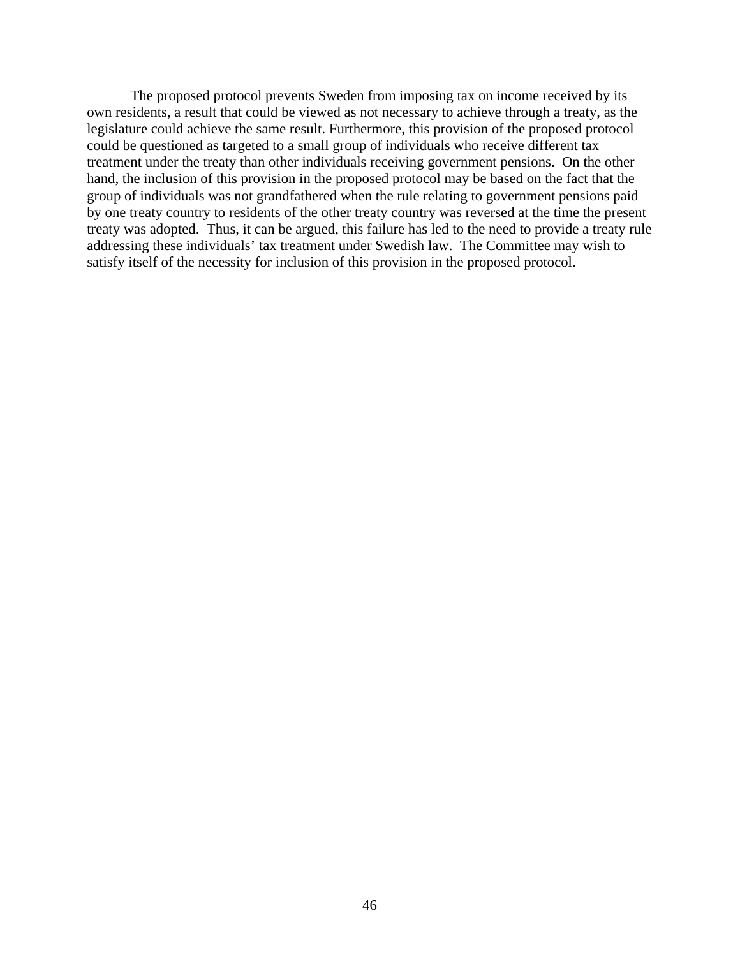The proposed protocol prevents Sweden from imposing tax on income received by its own residents, a result that could be viewed as not necessary to achieve through a treaty, as the legislature could achieve the same result. Furthermore, this provision of the proposed protocol could be questioned as targeted to a small group of individuals who receive different tax treatment under the treaty than other individuals receiving government pensions. On the other hand, the inclusion of this provision in the proposed protocol may be based on the fact that the group of individuals was not grandfathered when the rule relating to government pensions paid by one treaty country to residents of the other treaty country was reversed at the time the present treaty was adopted. Thus, it can be argued, this failure has led to the need to provide a treaty rule addressing these individuals' tax treatment under Swedish law. The Committee may wish to satisfy itself of the necessity for inclusion of this provision in the proposed protocol.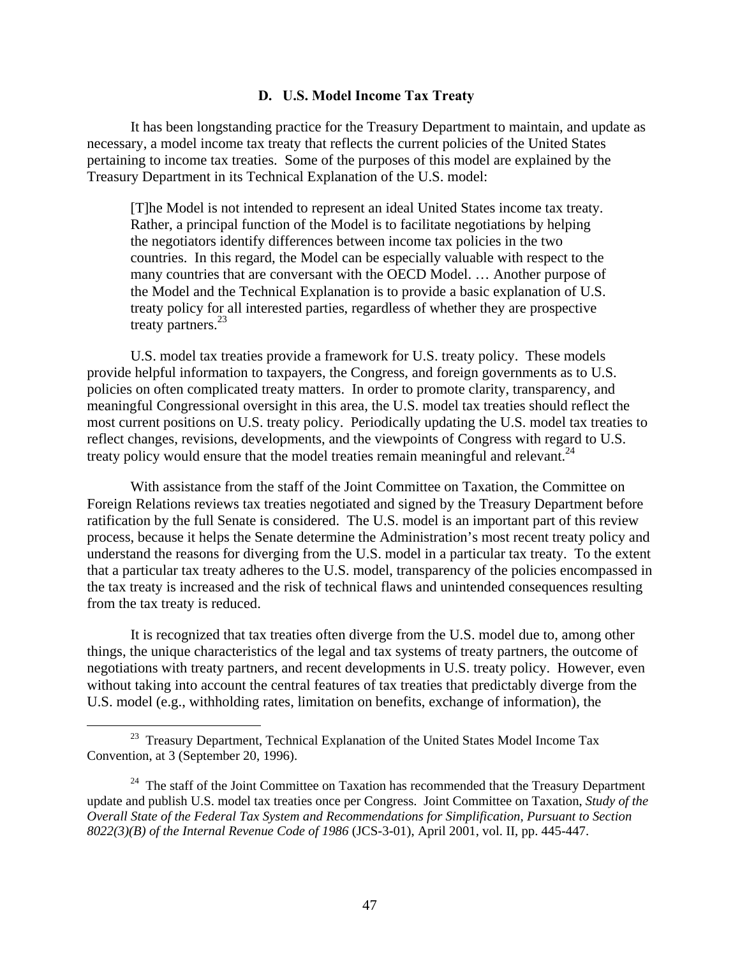### **D. U.S. Model Income Tax Treaty**

It has been longstanding practice for the Treasury Department to maintain, and update as necessary, a model income tax treaty that reflects the current policies of the United States pertaining to income tax treaties. Some of the purposes of this model are explained by the Treasury Department in its Technical Explanation of the U.S. model:

[T]he Model is not intended to represent an ideal United States income tax treaty. Rather, a principal function of the Model is to facilitate negotiations by helping the negotiators identify differences between income tax policies in the two countries. In this regard, the Model can be especially valuable with respect to the many countries that are conversant with the OECD Model. … Another purpose of the Model and the Technical Explanation is to provide a basic explanation of U.S. treaty policy for all interested parties, regardless of whether they are prospective treaty partners.<sup>23</sup>

U.S. model tax treaties provide a framework for U.S. treaty policy. These models provide helpful information to taxpayers, the Congress, and foreign governments as to U.S. policies on often complicated treaty matters. In order to promote clarity, transparency, and meaningful Congressional oversight in this area, the U.S. model tax treaties should reflect the most current positions on U.S. treaty policy. Periodically updating the U.S. model tax treaties to reflect changes, revisions, developments, and the viewpoints of Congress with regard to U.S. treaty policy would ensure that the model treaties remain meaningful and relevant.  $24$ 

With assistance from the staff of the Joint Committee on Taxation, the Committee on Foreign Relations reviews tax treaties negotiated and signed by the Treasury Department before ratification by the full Senate is considered. The U.S. model is an important part of this review process, because it helps the Senate determine the Administration's most recent treaty policy and understand the reasons for diverging from the U.S. model in a particular tax treaty. To the extent that a particular tax treaty adheres to the U.S. model, transparency of the policies encompassed in the tax treaty is increased and the risk of technical flaws and unintended consequences resulting from the tax treaty is reduced.

It is recognized that tax treaties often diverge from the U.S. model due to, among other things, the unique characteristics of the legal and tax systems of treaty partners, the outcome of negotiations with treaty partners, and recent developments in U.S. treaty policy. However, even without taking into account the central features of tax treaties that predictably diverge from the U.S. model (e.g., withholding rates, limitation on benefits, exchange of information), the

<sup>&</sup>lt;sup>23</sup> Treasury Department, Technical Explanation of the United States Model Income Tax Convention, at 3 (September 20, 1996).

<sup>&</sup>lt;sup>24</sup> The staff of the Joint Committee on Taxation has recommended that the Treasury Department update and publish U.S. model tax treaties once per Congress. Joint Committee on Taxation, *Study of the Overall State of the Federal Tax System and Recommendations for Simplification, Pursuant to Section 8022(3)(B) of the Internal Revenue Code of 1986* (JCS-3-01), April 2001, vol. II, pp. 445-447.